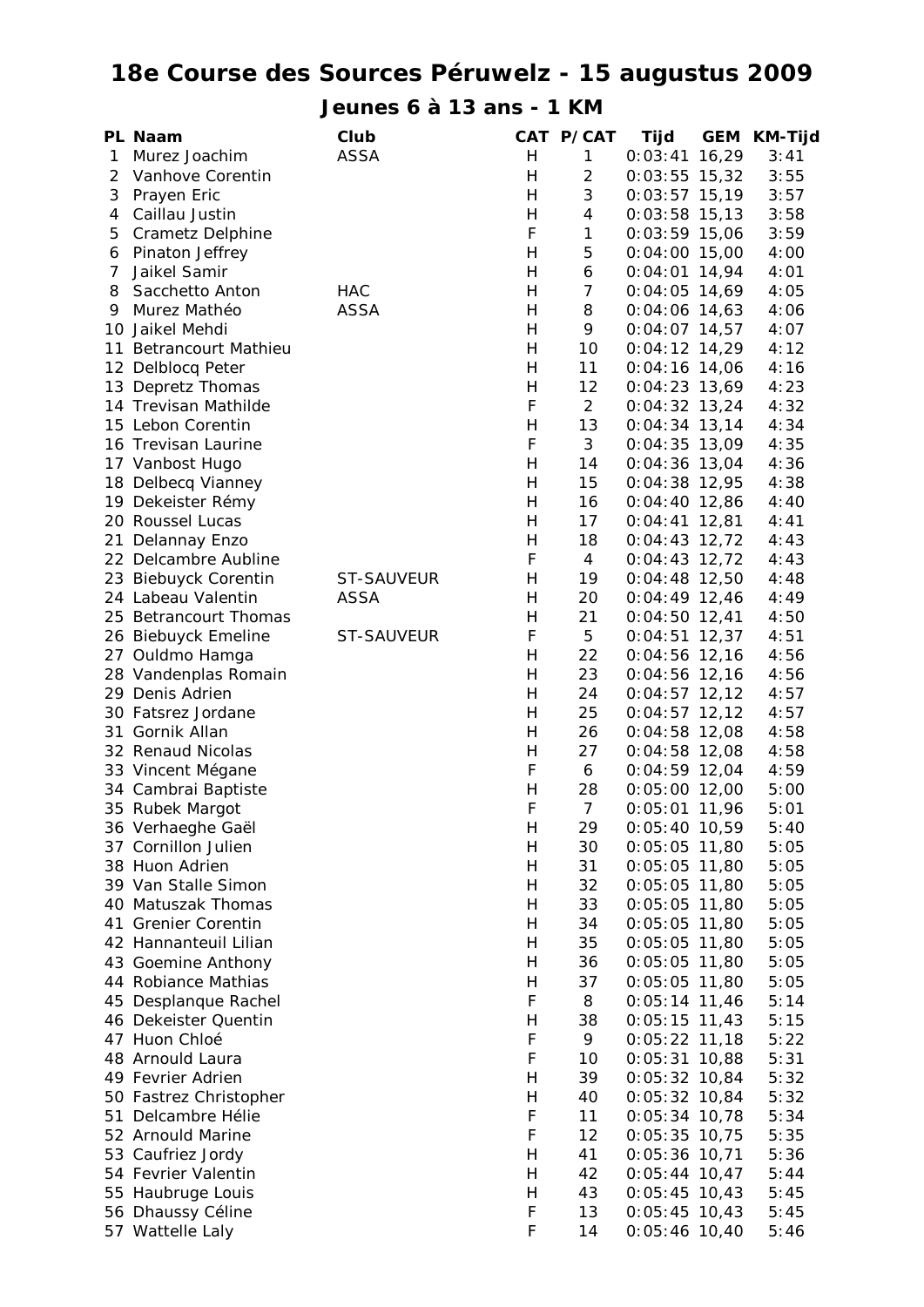## **18e Course des Sources Péruwelz - 15 augustus 2009**

**Jeunes 6 à 13 ans - 1 KM**

|   | PL Naam                 | Club        |                           | CAT P/CAT      | Tijd            | <b>GEM KM-Tijd</b> |
|---|-------------------------|-------------|---------------------------|----------------|-----------------|--------------------|
| 1 | Murez Joachim           | <b>ASSA</b> | H                         | $\mathbf{1}$   | $0:03:41$ 16,29 | 3:41               |
| 2 | Vanhove Corentin        |             | H                         | $\overline{2}$ | $0:03:55$ 15,32 | 3:55               |
| 3 | Prayen Eric             |             | H                         | 3              | $0:03:57$ 15,19 | 3:57               |
| 4 | Caillau Justin          |             | H                         | $\overline{4}$ | $0:03:58$ 15,13 | 3:58               |
| 5 | <b>Crametz Delphine</b> |             | F                         | 1              | $0:03:59$ 15,06 | 3:59               |
| 6 | Pinaton Jeffrey         |             | H                         | 5              | $0:04:00$ 15,00 | 4:00               |
| 7 | Jaikel Samir            |             | H                         | 6              | $0:04:01$ 14,94 | 4:01               |
| 8 | Sacchetto Anton         | <b>HAC</b>  | H                         | 7              | $0:04:05$ 14,69 | 4:05               |
| 9 | Murez Mathéo            | <b>ASSA</b> | H                         | 8              | $0:04:06$ 14,63 | 4:06               |
|   | 10 Jaikel Mehdi         |             | H                         | 9              | $0:04:07$ 14,57 | 4:07               |
|   | 11 Betrancourt Mathieu  |             | H                         | 10             | $0:04:12$ 14,29 | 4:12               |
|   | 12 Delblocq Peter       |             | H                         | 11             | $0:04:16$ 14,06 | 4:16               |
|   | 13 Depretz Thomas       |             | H                         | 12             | $0:04:23$ 13,69 | 4:23               |
|   | 14 Trevisan Mathilde    |             | F                         | $\overline{2}$ | $0:04:32$ 13,24 | 4:32               |
|   | 15 Lebon Corentin       |             | Н                         | 13             | $0:04:34$ 13,14 | 4:34               |
|   | 16 Trevisan Laurine     |             | F                         | 3              | $0:04:35$ 13,09 | 4:35               |
|   | 17 Vanbost Hugo         |             | H                         | 14             | $0:04:36$ 13,04 | 4:36               |
|   | 18 Delbecq Vianney      |             | H                         | 15             | $0:04:38$ 12,95 | 4:38               |
|   | 19 Dekeister Rémy       |             | H                         | 16             | $0:04:40$ 12,86 | 4:40               |
|   | 20 Roussel Lucas        |             | H                         | 17             | $0:04:41$ 12,81 | 4:41               |
|   | 21 Delannay Enzo        |             | H                         | 18             | $0:04:43$ 12,72 | 4:43               |
|   | 22 Delcambre Aubline    |             | F                         | $\overline{4}$ | $0:04:43$ 12,72 | 4:43               |
|   | 23 Biebuyck Corentin    | ST-SAUVEUR  | H                         | 19             | $0:04:48$ 12,50 | 4:48               |
|   | 24 Labeau Valentin      | <b>ASSA</b> | H                         | 20             | $0:04:49$ 12,46 | 4:49               |
|   | 25 Betrancourt Thomas   |             | Н                         | 21             | $0:04:50$ 12,41 | 4:50               |
|   | 26 Biebuyck Emeline     | ST-SAUVEUR  | F                         | 5              | $0:04:51$ 12,37 | 4:51               |
|   | 27 Ouldmo Hamga         |             | H                         | 22             | $0:04:56$ 12,16 | 4:56               |
|   | 28 Vandenplas Romain    |             | H                         | 23             | $0:04:56$ 12,16 | 4:56               |
|   | 29 Denis Adrien         |             | H                         | 24             | $0:04:57$ 12,12 | 4:57               |
|   | 30 Fatsrez Jordane      |             | H                         | 25             | $0:04:57$ 12,12 | 4:57               |
|   | 31 Gornik Allan         |             | H                         | 26             | $0:04:58$ 12,08 | 4:58               |
|   | 32 Renaud Nicolas       |             | H                         | 27             | $0:04:58$ 12,08 | 4:58               |
|   | 33 Vincent Mégane       |             | F                         | 6              | $0:04:59$ 12,04 | 4:59               |
|   | 34 Cambrai Baptiste     |             | H                         | 28             | $0:05:00$ 12,00 | 5:00               |
|   | 35 Rubek Margot         |             | F                         | $\overline{7}$ | $0:05:01$ 11,96 | 5:01               |
|   | 36 Verhaeghe Gaël       |             | $\boldsymbol{\mathsf{H}}$ | 29             | $0:05:40$ 10,59 | 5:40               |
|   | 37 Cornillon Julien     |             | H                         | 30             | $0:05:05$ 11,80 | 5:05               |
|   | 38 Huon Adrien          |             | H                         | 31             | $0:05:05$ 11,80 | 5:05               |
|   | 39 Van Stalle Simon     |             | H                         | 32             | $0:05:05$ 11,80 | 5:05               |
|   | 40 Matuszak Thomas      |             | H                         | 33             | $0:05:05$ 11,80 | 5:05               |
|   | 41 Grenier Corentin     |             | H                         | 34             | $0:05:05$ 11,80 | 5:05               |
|   | 42 Hannanteuil Lilian   |             | H                         | 35             | $0:05:05$ 11,80 | 5:05               |
|   | 43 Goemine Anthony      |             | H                         | 36             | $0:05:05$ 11,80 | 5:05               |
|   | 44 Robiance Mathias     |             | H                         | 37             | $0:05:05$ 11,80 | 5:05               |
|   | 45 Desplanque Rachel    |             | F                         | 8              | $0:05:14$ 11,46 | 5:14               |
|   | 46 Dekeister Quentin    |             | H                         | 38             | $0:05:15$ 11,43 | 5:15               |
|   | 47 Huon Chloé           |             | F                         | 9              | $0:05:22$ 11,18 | 5:22               |
|   | 48 Arnould Laura        |             | F                         | 10             | $0:05:31$ 10,88 | 5:31               |
|   | 49 Fevrier Adrien       |             | H                         | 39             | $0:05:32$ 10,84 | 5:32               |
|   | 50 Fastrez Christopher  |             | H                         | 40             | $0:05:32$ 10,84 | 5:32               |
|   | 51 Delcambre Hélie      |             | F                         | 11             | $0:05:34$ 10,78 | 5:34               |
|   | 52 Arnould Marine       |             | F                         | 12             | $0:05:35$ 10,75 | 5:35               |
|   | 53 Caufriez Jordy       |             | H                         | 41             | $0:05:36$ 10,71 | 5:36               |
|   | 54 Fevrier Valentin     |             | H                         | 42             | $0:05:44$ 10,47 | 5:44               |
|   | 55 Haubruge Louis       |             | H                         | 43             | $0:05:45$ 10,43 | 5:45               |
|   | 56 Dhaussy Céline       |             | F                         | 13             | $0:05:45$ 10,43 | 5:45               |
|   | 57 Wattelle Laly        |             | F                         | 14             | $0:05:46$ 10,40 | 5:46               |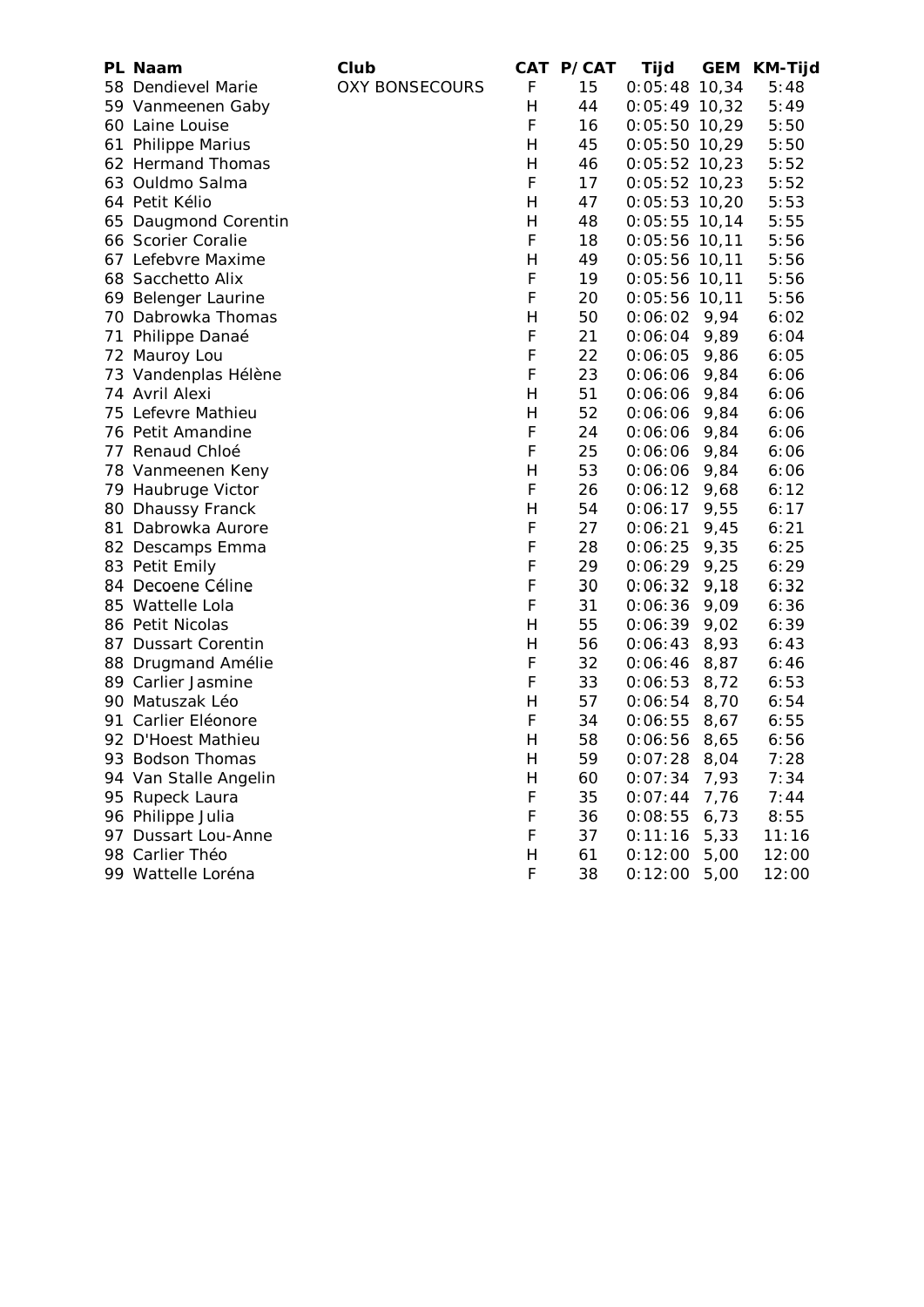|    | PL Naam               | Club                  |              | CAT P/CAT | Tijd            | GEM  | <b>KM-Tijd</b> |
|----|-----------------------|-----------------------|--------------|-----------|-----------------|------|----------------|
|    | 58 Dendievel Marie    | <b>OXY BONSECOURS</b> | F            | 15        | $0:05:48$ 10,34 |      | 5:48           |
|    | 59 Vanmeenen Gaby     |                       | Н            | 44        | $0:05:49$ 10,32 |      | 5:49           |
|    | 60 Laine Louise       |                       | F            | 16        | $0:05:50$ 10,29 |      | 5:50           |
|    | 61 Philippe Marius    |                       | H            | 45        | $0:05:50$ 10,29 |      | 5:50           |
|    | 62 Hermand Thomas     |                       | H            | 46        | $0:05:52$ 10,23 |      | 5:52           |
|    | 63 Ouldmo Salma       |                       | F            | 17        | $0:05:52$ 10,23 |      | 5:52           |
|    | 64 Petit Kélio        |                       | H            | 47        | $0:05:53$ 10,20 |      | 5:53           |
|    | 65 Daugmond Corentin  |                       | Н            | 48        | $0:05:55$ 10,14 |      | 5:55           |
|    | 66 Scorier Coralie    |                       | F            | 18        | $0:05:56$ 10,11 |      | 5:56           |
|    | 67 Lefebvre Maxime    |                       | Н            | 49        | $0:05:56$ 10,11 |      | 5:56           |
|    | 68 Sacchetto Alix     |                       | F            | 19        | $0:05:56$ 10,11 |      | 5:56           |
|    | 69 Belenger Laurine   |                       | F            | 20        | $0:05:56$ 10,11 |      | 5:56           |
|    | 70 Dabrowka Thomas    |                       | H            | 50        | $0:06:02$ 9,94  |      | 6:02           |
|    | 71 Philippe Danaé     |                       | F            | 21        | $0:06:04$ 9,89  |      | 6:04           |
|    | 72 Mauroy Lou         |                       | F            | 22        | 0:06:05         | 9,86 | 6:05           |
|    | 73 Vandenplas Hélène  |                       | F            | 23        | $0:06:06$ 9,84  |      | 6:06           |
|    | 74 Avril Alexi        |                       | H            | 51        | $0:06:06$ 9,84  |      | 6:06           |
|    | 75 Lefevre Mathieu    |                       | H            | 52        | 0:06:06         | 9,84 | 6:06           |
|    | 76 Petit Amandine     |                       | F            | 24        | 0:06:06         | 9,84 | 6:06           |
|    | 77 Renaud Chloé       |                       | F            | 25        | 0:06:06         | 9,84 | 6:06           |
|    | 78 Vanmeenen Keny     |                       | H            | 53        | 0:06:06         | 9,84 | 6:06           |
|    | 79 Haubruge Victor    |                       | F            | 26        | $0:06:12$ 9,68  |      | 6:12           |
|    | 80 Dhaussy Franck     |                       | H            | 54        | 0:06:17         | 9,55 | 6:17           |
| 81 | Dabrowka Aurore       |                       | F            | 27        | 0:06:21         | 9,45 | 6:21           |
|    | 82 Descamps Emma      |                       | F            | 28        | 0:06:25         | 9,35 | 6:25           |
|    | 83 Petit Emily        |                       | F            | 29        | 0:06:29         | 9,25 | 6:29           |
|    | 84 Decoene Céline     |                       | F            | 30        | 0:06:32         | 9,18 | 6:32           |
|    | 85 Wattelle Lola      |                       | F            | 31        | 0:06:36         | 9,09 | 6:36           |
|    | 86 Petit Nicolas      |                       | H            | 55        | $0:06:39$ 9,02  |      | 6:39           |
|    | 87 Dussart Corentin   |                       | Н            | 56        | 0:06:43         | 8,93 | 6:43           |
|    | 88 Drugmand Amélie    |                       | F            | 32        | 0:06:46         | 8,87 | 6:46           |
|    | 89 Carlier Jasmine    |                       | F            | 33        | 0:06:53         | 8,72 | 6:53           |
|    | 90 Matuszak Léo       |                       | H            | 57        | 0:06:54         | 8,70 | 6:54           |
|    | 91 Carlier Eléonore   |                       | F            | 34        | 0:06:55         | 8,67 | 6:55           |
|    | 92 D'Hoest Mathieu    |                       | H            | 58        | 0:06:56         | 8,65 | 6:56           |
|    | 93 Bodson Thomas      |                       | $\mathsf{H}$ | 59        | 0:07:28         | 8,04 | 7:28           |
|    | 94 Van Stalle Angelin |                       | H            | 60        | 0:07:34         | 7,93 | 7:34           |
|    | 95 Rupeck Laura       |                       | F            | 35        | 0:07:44         | 7,76 | 7:44           |
|    | 96 Philippe Julia     |                       | F            | 36        | 0:08:55         | 6,73 | 8:55           |
|    | 97 Dussart Lou-Anne   |                       | F            | 37        | 0:11:16         | 5,33 | 11:16          |
|    | 98 Carlier Théo       |                       | Н            | 61        | 0:12:00         | 5,00 | 12:00          |
|    | 99 Wattelle Loréna    |                       | F            | 38        | 0:12:00         | 5,00 | 12:00          |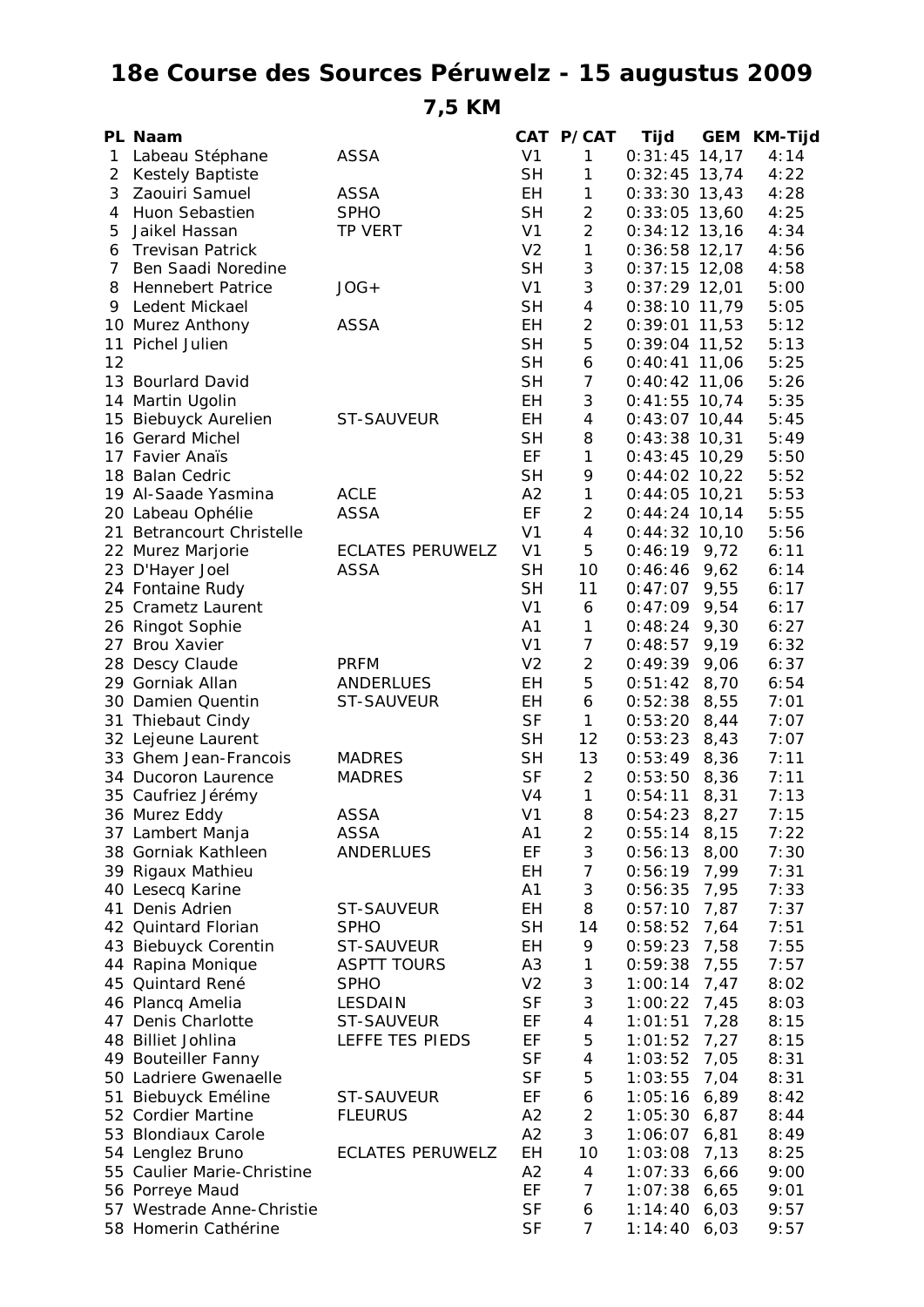## **18e Course des Sources Péruwelz - 15 augustus 2009**

**7,5 KM**

|              | PL Naam                       |                         |                | CAT P/CAT                | Tijd            | <b>GEM</b> | <b>KM-Tijd</b> |
|--------------|-------------------------------|-------------------------|----------------|--------------------------|-----------------|------------|----------------|
| $\mathbf{1}$ | Labeau Stéphane               | <b>ASSA</b>             | V <sub>1</sub> | $\mathbf{1}$             | $0:31:45$ 14,17 |            | 4:14           |
| 2            | Kestely Baptiste              |                         | <b>SH</b>      | 1                        | $0:32:45$ 13,74 |            | 4:22           |
| 3            | Zaouiri Samuel                | <b>ASSA</b>             | EH             | 1                        | $0:33:30$ 13,43 |            | 4:28           |
| 4            | Huon Sebastien                | <b>SPHO</b>             | <b>SH</b>      | $\overline{c}$           | $0:33:05$ 13,60 |            | 4:25           |
| 5            | Jaikel Hassan                 | <b>TP VERT</b>          | V <sub>1</sub> | $\overline{2}$           | $0:34:12$ 13,16 |            | 4:34           |
| 6            | <b>Trevisan Patrick</b>       |                         | V <sub>2</sub> | $\mathbf{1}$             | $0:36:58$ 12,17 |            | 4:56           |
| 7            | Ben Saadi Noredine            |                         | <b>SH</b>      | 3                        | $0:37:15$ 12,08 |            | 4:58           |
| 8            | <b>Hennebert Patrice</b>      | $JOG+$                  | V <sub>1</sub> | 3                        | $0:37:29$ 12,01 |            | 5:00           |
|              |                               |                         |                |                          |                 |            |                |
| 9            | Ledent Mickael                |                         | <b>SH</b>      | $\overline{4}$           | $0:38:10$ 11,79 |            | 5:05           |
|              | 10 Murez Anthony              | <b>ASSA</b>             | EH             | $\overline{c}$           | $0:39:01$ 11,53 |            | 5:12           |
| 11           | Pichel Julien                 |                         | <b>SH</b>      | 5                        | $0:39:04$ 11,52 |            | 5:13           |
| 12           |                               |                         | <b>SH</b>      | 6                        | $0:40:41$ 11,06 |            | 5:25           |
|              | 13 Bourlard David             |                         | <b>SH</b>      | $\overline{7}$           | $0:40:42$ 11,06 |            | 5:26           |
|              | 14 Martin Ugolin              |                         | EH             | 3                        | $0:41:55$ 10,74 |            | 5:35           |
| 15           | Biebuyck Aurelien             | <b>ST-SAUVEUR</b>       | EH             | $\overline{\mathcal{A}}$ | $0:43:07$ 10,44 |            | 5:45           |
|              | 16 Gerard Michel              |                         | <b>SH</b>      | 8                        | $0:43:38$ 10,31 |            | 5:49           |
|              | 17 Favier Anaïs               |                         | EF             | $\mathbf{1}$             | $0:43:45$ 10,29 |            | 5:50           |
|              | 18 Balan Cedric               |                         | <b>SH</b>      | 9                        | $0:44:02$ 10,22 |            | 5:52           |
|              | 19 Al-Saade Yasmina           | <b>ACLE</b>             | A2             | $\mathbf{1}$             | $0:44:05$ 10,21 |            | 5:53           |
|              | 20 Labeau Ophélie             | <b>ASSA</b>             | EF             | $\overline{c}$           | $0:44:24$ 10,14 |            | 5:55           |
| 21.          | <b>Betrancourt Christelle</b> |                         | V <sub>1</sub> | 4                        | $0:44:32$ 10,10 |            | 5:56           |
|              | 22 Murez Marjorie             | <b>ECLATES PERUWELZ</b> | V <sub>1</sub> | 5                        | 0:46:19         | 9,72       | 6:11           |
|              |                               | <b>ASSA</b>             | <b>SH</b>      | 10                       |                 |            |                |
|              | 23 D'Hayer Joel               |                         |                |                          | 0:46:46         | 9,62       | 6:14           |
|              | 24 Fontaine Rudy              |                         | <b>SH</b>      | 11                       | 0:47:07         | 9,55       | 6:17           |
|              | 25 Crametz Laurent            |                         | V <sub>1</sub> | 6                        | 0:47:09         | 9,54       | 6:17           |
|              | 26 Ringot Sophie              |                         | A <sub>1</sub> | 1                        | 0:48:24         | 9,30       | 6:27           |
| 27           | <b>Brou Xavier</b>            |                         | V <sub>1</sub> | $\overline{7}$           | 0:48:57         | 9,19       | 6:32           |
|              | 28 Descy Claude               | <b>PRFM</b>             | V <sub>2</sub> | $\overline{c}$           | 0:49:39         | 9,06       | 6:37           |
|              | 29 Gorniak Allan              | <b>ANDERLUES</b>        | EН             | 5                        | 0:51:42         | 8,70       | 6:54           |
|              | 30 Damien Quentin             | ST-SAUVEUR              | EН             | 6                        | 0:52:38         | 8,55       | 7:01           |
|              | 31 Thiebaut Cindy             |                         | <b>SF</b>      | 1                        | 0:53:20         | 8,44       | 7:07           |
|              | 32 Lejeune Laurent            |                         | <b>SH</b>      | 12                       | 0:53:23         | 8,43       | 7:07           |
|              | 33 Ghem Jean-Francois         | <b>MADRES</b>           | <b>SH</b>      | 13                       | 0:53:49         | 8,36       | 7:11           |
|              | 34 Ducoron Laurence           | <b>MADRES</b>           | <b>SF</b>      | $\overline{2}$           | 0:53:50         | 8,36       | 7:11           |
|              | 35 Caufriez Jérémy            |                         | V <sub>4</sub> | $\mathbf{1}$             | 0:54:11         | 8,31       | 7:13           |
|              | 36 Murez Eddy                 | <b>ASSA</b>             | V <sub>1</sub> | 8                        | 0:54:23         | 8,27       | 7:15           |
|              | 37 Lambert Manja              | <b>ASSA</b>             | A1             | $\overline{c}$           | 0:55:14         | 8,15       | 7:22           |
|              | 38 Gorniak Kathleen           | <b>ANDERLUES</b>        | EF             | 3                        | 0:56:13         | 8,00       | 7:30           |
|              | 39 Rigaux Mathieu             |                         | EH             | 7                        | 0:56:19         | 7,99       | 7:31           |
|              |                               |                         |                |                          |                 |            |                |
|              | 40 Lesecq Karine              |                         | A1             | 3                        | 0:56:35         | 7,95       | 7:33           |
| 41           | Denis Adrien                  | ST-SAUVEUR              | EH             | 8                        | 0:57:10         | 7,87       | 7:37           |
|              | 42 Quintard Florian           | <b>SPHO</b>             | <b>SH</b>      | 14                       | 0:58:52         | 7,64       | 7:51           |
|              | 43 Biebuyck Corentin          | ST-SAUVEUR              | EH             | 9                        | 0:59:23         | 7,58       | 7:55           |
|              | 44 Rapina Monique             | <b>ASPTT TOURS</b>      | A3             | 1                        | 0:59:38         | 7,55       | 7:57           |
|              | 45 Quintard René              | <b>SPHO</b>             | V <sub>2</sub> | 3                        | 1:00:14         | 7,47       | 8:02           |
|              | 46 Plancq Amelia              | <b>LESDAIN</b>          | SF             | 3                        | 1:00:22         | 7,45       | 8:03           |
|              | 47 Denis Charlotte            | ST-SAUVEUR              | EF             | $\overline{\mathcal{A}}$ | 1:01:51         | 7,28       | 8:15           |
|              | 48 Billiet Johlina            | LEFFE TES PIEDS         | EF             | 5                        | 1:01:52         | 7,27       | 8:15           |
|              | 49 Bouteiller Fanny           |                         | <b>SF</b>      | 4                        | 1:03:52         | 7,05       | 8:31           |
|              | 50 Ladriere Gwenaelle         |                         | SF             | 5                        | 1:03:55         | 7,04       | 8:31           |
|              | 51 Biebuyck Eméline           | ST-SAUVEUR              | EF             | 6                        | 1:05:16         | 6,89       | 8:42           |
|              | 52 Cordier Martine            | <b>FLEURUS</b>          | A <sub>2</sub> | $\sqrt{2}$               | 1:05:30         | 6,87       | 8:44           |
|              | 53 Blondiaux Carole           |                         | A2             | 3                        | 1:06:07         | 6,81       | 8:49           |
|              |                               | <b>ECLATES PERUWELZ</b> | EH             | 10                       |                 |            |                |
|              | 54 Lenglez Bruno              |                         |                |                          | 1:03:08         | 7,13       | 8:25           |
|              | 55 Caulier Marie-Christine    |                         | A2             | $\overline{4}$           | 1:07:33         | 6,66       | 9:00           |
|              | 56 Porreye Maud               |                         | EF             | 7                        | 1:07:38         | 6,65       | 9:01           |
|              | 57 Westrade Anne-Christie     |                         | SF             | 6                        | 1:14:40         | 6,03       | 9:57           |
|              | 58 Homerin Cathérine          |                         | SF             | 7                        | 1:14:40         | 6,03       | 9:57           |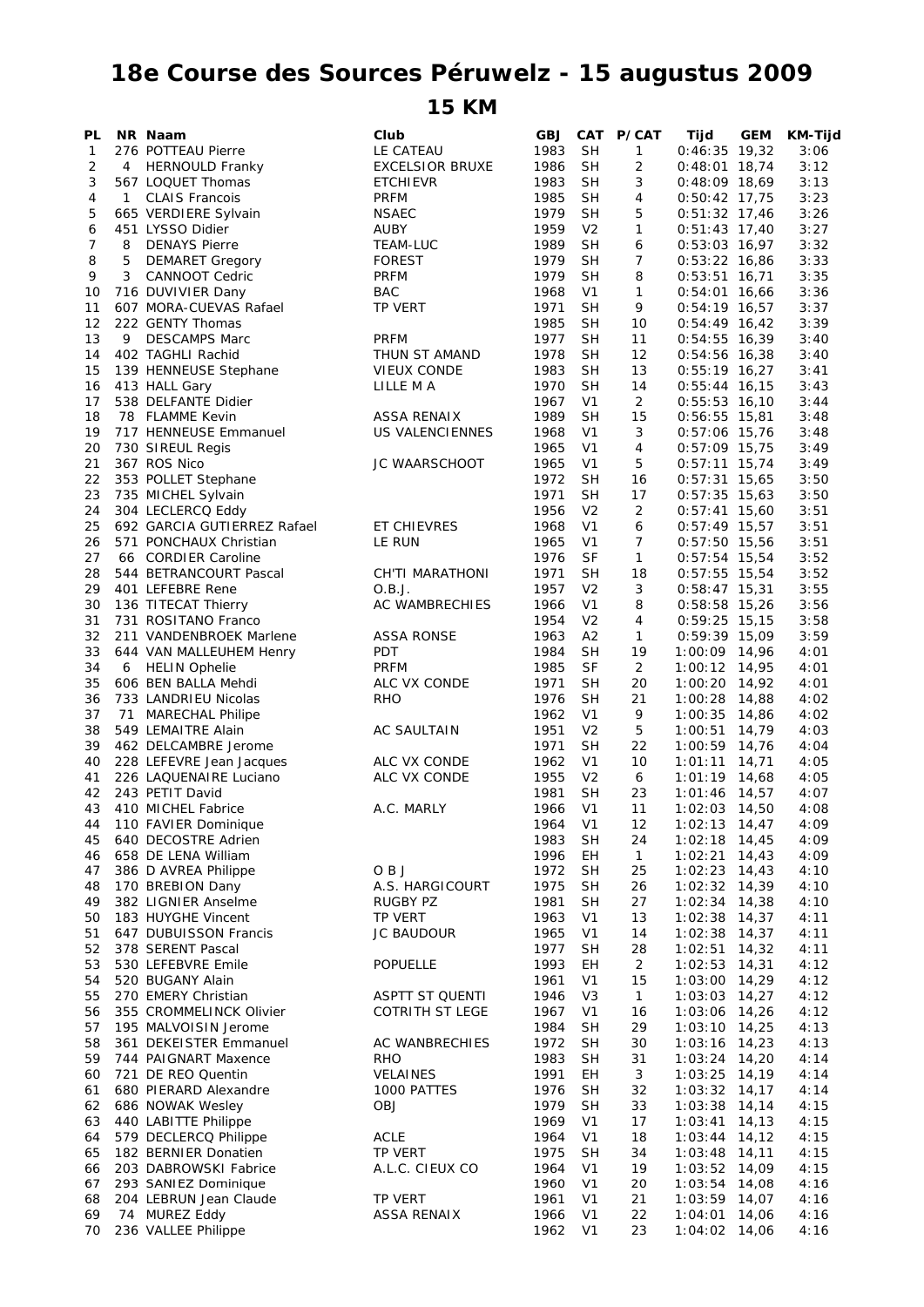## **18e Course des Sources Péruwelz - 15 augustus 2009**

## **15 KM**

| PL       |   | NR Naam                                         | Club                         | <b>GBJ</b>   |                      | CAT P/CAT            | Tijd                               | <b>GEM</b> | KM-Tijd      |
|----------|---|-------------------------------------------------|------------------------------|--------------|----------------------|----------------------|------------------------------------|------------|--------------|
| 1        |   | 276 POTTEAU Pierre                              | LE CATEAU                    | 1983         | <b>SH</b>            | 1                    | $0:46:35$ 19,32                    |            | 3:06         |
| 2        | 4 | <b>HERNOULD Franky</b>                          | <b>EXCELSIOR BRUXE</b>       | 1986         | <b>SH</b>            | 2                    | $0:48:01$ 18,74                    |            | 3:12         |
| 3        |   | 567 LOQUET Thomas                               | <b>ETCHIEVR</b>              | 1983         | SН                   | 3                    | $0:48:09$ 18,69                    |            | 3:13         |
| 4        | 1 | <b>CLAIS Francois</b>                           | <b>PRFM</b>                  | 1985         | <b>SH</b>            | 4                    | $0:50:42$ 17,75                    |            | 3:23         |
| 5        |   | 665 VERDIERE Sylvain                            | <b>NSAEC</b>                 | 1979         | <b>SH</b>            | 5                    | $0:51:32$ 17,46                    |            | 3:26         |
| 6        |   | 451 LYSSO Didier                                | AUBY                         | 1959         | V2                   | 1                    | $0:51:43$ 17,40                    |            | 3:27         |
| 7        | 8 | <b>DENAYS Pierre</b>                            | TEAM-LUC                     | 1989         | <b>SH</b>            | 6                    | $0:53:03$ 16,97                    |            | 3:32         |
| 8        | 5 | <b>DEMARET Gregory</b>                          | <b>FOREST</b>                | 1979         | SН                   | $\overline{7}$       | $0:53:22$ 16,86                    |            | 3:33         |
| 9        | 3 | <b>CANNOOT Cedric</b>                           | <b>PRFM</b>                  | 1979         | <b>SH</b>            | 8                    | $0:53:51$ 16,71                    |            | 3:35         |
| 10<br>11 |   | 716 DUVIVIER Dany<br>607 MORA-CUEVAS Rafael     | <b>BAC</b><br><b>TP VERT</b> | 1968<br>1971 | V <sub>1</sub><br>SН | 1<br>9               | $0:54:01$ 16,66<br>$0:54:19$ 16,57 |            | 3:36<br>3:37 |
| 12       |   | 222 GENTY Thomas                                |                              | 1985         | <b>SH</b>            | 10                   | $0:54:49$ 16,42                    |            | 3:39         |
| 13       | 9 | <b>DESCAMPS Marc</b>                            | <b>PRFM</b>                  | 1977         | <b>SH</b>            | 11                   | $0:54:55$ 16,39                    |            | 3:40         |
| 14       |   | 402 TAGHLI Rachid                               | THUN ST AMAND                | 1978         | SH                   | 12                   | $0:54:56$ 16,38                    |            | 3:40         |
| 15       |   | 139 HENNEUSE Stephane                           | VIEUX CONDE                  | 1983         | <b>SH</b>            | 13                   | $0:55:19$ 16,27                    |            | 3:41         |
| 16       |   | 413 HALL Gary                                   | LILLE M A                    | 1970         | <b>SH</b>            | 14                   | $0:55:44$ 16,15                    |            | 3:43         |
| 17       |   | 538 DELFANTE Didier                             |                              | 1967         | V1                   | $\overline{2}$       | $0:55:53$ 16,10                    |            | 3:44         |
| 18       |   | 78 FLAMME Kevin                                 | ASSA RENAIX                  | 1989         | <b>SH</b>            | 15                   | $0:56:55$ 15,81                    |            | 3:48         |
| 19       |   | 717 HENNEUSE Emmanuel                           | US VALENCIENNES              | 1968         | V <sub>1</sub>       | 3                    | $0:57:06$ 15,76                    |            | 3:48         |
| 20       |   | 730 SIREUL Regis                                |                              | 1965         | V <sub>1</sub>       | $\overline{4}$       | $0:57:09$ 15,75                    |            | 3:49         |
| 21       |   | 367 ROS Nico                                    | JC WAARSCHOOT                | 1965         | V1                   | 5                    | $0:57:11$ 15,74                    |            | 3:49         |
| 22       |   | 353 POLLET Stephane                             |                              | 1972         | <b>SH</b>            | 16                   | $0:57:31$ 15,65                    |            | 3:50         |
| 23       |   | 735 MICHEL Sylvain                              |                              | 1971         | <b>SH</b>            | 17                   | $0:57:35$ 15,63                    |            | 3:50         |
| 24       |   | 304 LECLERCQ Eddy                               |                              | 1956         | V <sub>2</sub>       | 2                    | $0:57:41$ 15,60                    |            | 3:51         |
| 25       |   | 692 GARCIA GUTIERREZ Rafael                     | ET CHIEVRES                  | 1968         | V <sub>1</sub>       | 6                    | $0:57:49$ 15,57                    |            | 3:51         |
| 26       |   | 571 PONCHAUX Christian                          | LE RUN                       | 1965         | V <sub>1</sub>       | $\overline{7}$       | $0:57:50$ 15,56                    |            | 3:51         |
| 27       |   | 66 CORDIER Caroline                             |                              | 1976         | <b>SF</b>            | 1                    | $0:57:54$ 15,54                    |            | 3:52         |
| 28       |   | 544 BETRANCOURT Pascal                          | CH'TI MARATHONI              | 1971         | <b>SH</b>            | 18                   | $0:57:55$ 15,54                    |            | 3:52         |
| 29       |   | 401 LEFEBRE Rene                                | O.B.J.                       | 1957         | V <sub>2</sub>       | 3                    | $0:58:47$ 15,31                    |            | 3:55         |
| 30       |   | 136 TITECAT Thierry                             | AC WAMBRECHIES               | 1966         | V <sub>1</sub>       | 8                    | $0:58:58$ 15,26                    |            | 3:56         |
| 31       |   | 731 ROSITANO Franco                             |                              | 1954         | V <sub>2</sub>       | 4                    | $0:59:25$ 15,15                    |            | 3:58         |
| 32       |   | 211 VANDENBROEK Marlene                         | ASSA RONSE                   | 1963         | A2                   | 1                    | $0:59:39$ 15,09                    |            | 3:59         |
| 33<br>34 | 6 | 644 VAN MALLEUHEM Henry<br><b>HELIN Ophelie</b> | PDT<br><b>PRFM</b>           | 1984<br>1985 | SН<br><b>SF</b>      | 19<br>$\overline{2}$ | $1:00:09$ 14,96<br>1:00:12 14,95   |            | 4:01<br>4:01 |
| 35       |   | 606 BEN BALLA Mehdi                             | ALC VX CONDE                 | 1971         | <b>SH</b>            | 20                   | $1:00:20$ 14,92                    |            | 4:01         |
| 36       |   | 733 LANDRIEU Nicolas                            | <b>RHO</b>                   | 1976         | SН                   | 21                   | $1:00:28$ 14,88                    |            | 4:02         |
| 37       |   | 71 MARECHAL Philipe                             |                              | 1962         | V1                   | 9                    | $1:00:35$ 14,86                    |            | 4:02         |
| 38       |   | 549 LEMAITRE Alain                              | <b>AC SAULTAIN</b>           | 1951         | V <sub>2</sub>       | 5                    | 1:00:51 14,79                      |            | 4:03         |
| 39       |   | 462 DELCAMBRE Jerome                            |                              | 1971         | SH                   | 22                   | $1:00:59$ 14,76                    |            | 4:04         |
| 40       |   | 228 LEFEVRE Jean Jacques                        | ALC VX CONDE                 | 1962         | V <sub>1</sub>       | 10                   | $1:01:11$ 14,71                    |            | 4:05         |
| 41       |   | 226 LAQUENAIRE Luciano                          | ALC VX CONDE                 | 1955         | V <sub>2</sub>       | 6                    | $1:01:19$ 14,68                    |            | 4:05         |
| 42       |   | 243 PETIT David                                 |                              | 1981         | SН                   | 23                   | $1:01:46$ 14,57                    |            | 4:07         |
| 43       |   | 410 MICHEL Fabrice                              | A.C. MARLY                   | 1966         | V <sub>1</sub>       | 11                   | $1:02:03$ 14,50                    |            | 4:08         |
| 44       |   | 110 FAVIER Dominique                            |                              | 1964         | V <sub>1</sub>       | 12                   | $1:02:13$ 14,47                    |            | 4:09         |
| 45       |   | 640 DECOSTRE Adrien                             |                              | 1983         | <b>SH</b>            | 24                   | $1:02:18$ 14,45                    |            | 4:09         |
| 46       |   | 658 DE LENA William                             |                              | 1996         | EН                   | $\mathbf{1}$         | $1:02:21$ 14,43                    |            | 4:09         |
| 47       |   | 386 D AVREA Philippe                            | OBJ                          | 1972         | <b>SH</b>            | 25                   | $1:02:23$ 14,43                    |            | 4:10         |
| 48       |   | 170 BREBION Dany                                | A.S. HARGICOURT              | 1975         | <b>SH</b>            | 26                   | $1:02:32$ 14,39                    |            | 4:10         |
| 49       |   | 382 LIGNIER Anselme                             | RUGBY PZ                     | 1981         | <b>SH</b>            | 27                   | $1:02:34$ 14,38                    |            | 4:10         |
| 50       |   | 183 HUYGHE Vincent                              | TP VERT                      | 1963         | V1                   | 13                   | 1:02:38 14,37                      |            | 4:11         |
| 51       |   | 647 DUBUISSON Francis                           | <b>JC BAUDOUR</b>            | 1965         | V <sub>1</sub>       | 14                   | $1:02:38$ 14,37                    |            | 4:11         |
| 52       |   | 378 SERENT Pascal                               |                              | 1977         | <b>SH</b>            | 28                   | $1:02:51$ 14,32                    |            | 4:11         |
| 53       |   | 530 LEFEBVRE Emile                              | <b>POPUELLE</b>              | 1993         | EH                   | $\overline{2}$       | $1:02:53$ 14,31                    |            | 4:12         |
| 54       |   | 520 BUGANY Alain                                |                              | 1961         | V <sub>1</sub>       | 15                   | 1:03:00                            | 14,29      | 4:12         |
| 55       |   | 270 EMERY Christian                             | <b>ASPTT ST QUENTI</b>       | 1946         | V <sub>3</sub>       | $\mathbf{1}$         | $1:03:03$ 14,27                    |            | 4:12         |
| 56       |   | 355 CROMMELINCK Olivier                         | <b>COTRITH ST LEGE</b>       | 1967         | V <sub>1</sub>       | 16                   | 1:03:06 14,26                      |            | 4:12         |
| 57       |   | 195 MALVOISIN Jerome<br>361 DEKEISTER Emmanuel  | AC WANBRECHIES               | 1984<br>1972 | <b>SH</b><br>SН      | 29<br>30             | $1:03:10$ 14,25<br>1:03:16         | 14,23      | 4:13<br>4:13 |
| 58<br>59 |   | 744 PAIGNART Maxence                            | <b>RHO</b>                   | 1983         | <b>SH</b>            | 31                   | 1:03:24 14,20                      |            | 4:14         |
| 60       |   | 721 DE REO Quentin                              | <b>VELAINES</b>              | 1991         | EH                   | 3                    | 1:03:25                            | 14,19      | 4:14         |
| 61       |   | 680 PIERARD Alexandre                           | 1000 PATTES                  | 1976         | <b>SH</b>            | 32                   | $1:03:32$ 14,17                    |            | 4:14         |
| 62       |   | 686 NOWAK Wesley                                | <b>OBJ</b>                   | 1979         | <b>SH</b>            | 33                   | $1:03:38$ 14,14                    |            | 4:15         |
| 63       |   | 440 LABITTE Philippe                            |                              | 1969         | V1                   | 17                   | $1:03:41$ 14,13                    |            | 4:15         |
| 64       |   | 579 DECLERCQ Philippe                           | <b>ACLE</b>                  | 1964         | V1                   | 18                   | 1:03:44                            | 14,12      | 4:15         |
| 65       |   | 182 BERNIER Donatien                            | <b>TP VERT</b>               | 1975         | SН                   | 34                   | $1:03:48$ 14,11                    |            | 4:15         |
| 66       |   | 203 DABROWSKI Fabrice                           | A.L.C. CIEUX CO              | 1964         | V <sub>1</sub>       | 19                   | 1:03:52 14,09                      |            | 4:15         |
| 67       |   | 293 SANIEZ Dominique                            |                              | 1960         | V <sub>1</sub>       | 20                   | 1:03:54 14,08                      |            | 4:16         |
| 68       |   | 204 LEBRUN Jean Claude                          | TP VERT                      | 1961         | V <sub>1</sub>       | 21                   | $1:03:59$ 14,07                    |            | 4:16         |
| 69       |   | 74 MUREZ Eddy                                   | <b>ASSA RENAIX</b>           | 1966         | V <sub>1</sub>       | 22                   | 1:04:01                            | 14,06      | 4:16         |
| 70       |   | 236 VALLEE Philippe                             |                              | 1962         | V <sub>1</sub>       | 23                   | 1:04:02 14,06                      |            | 4:16         |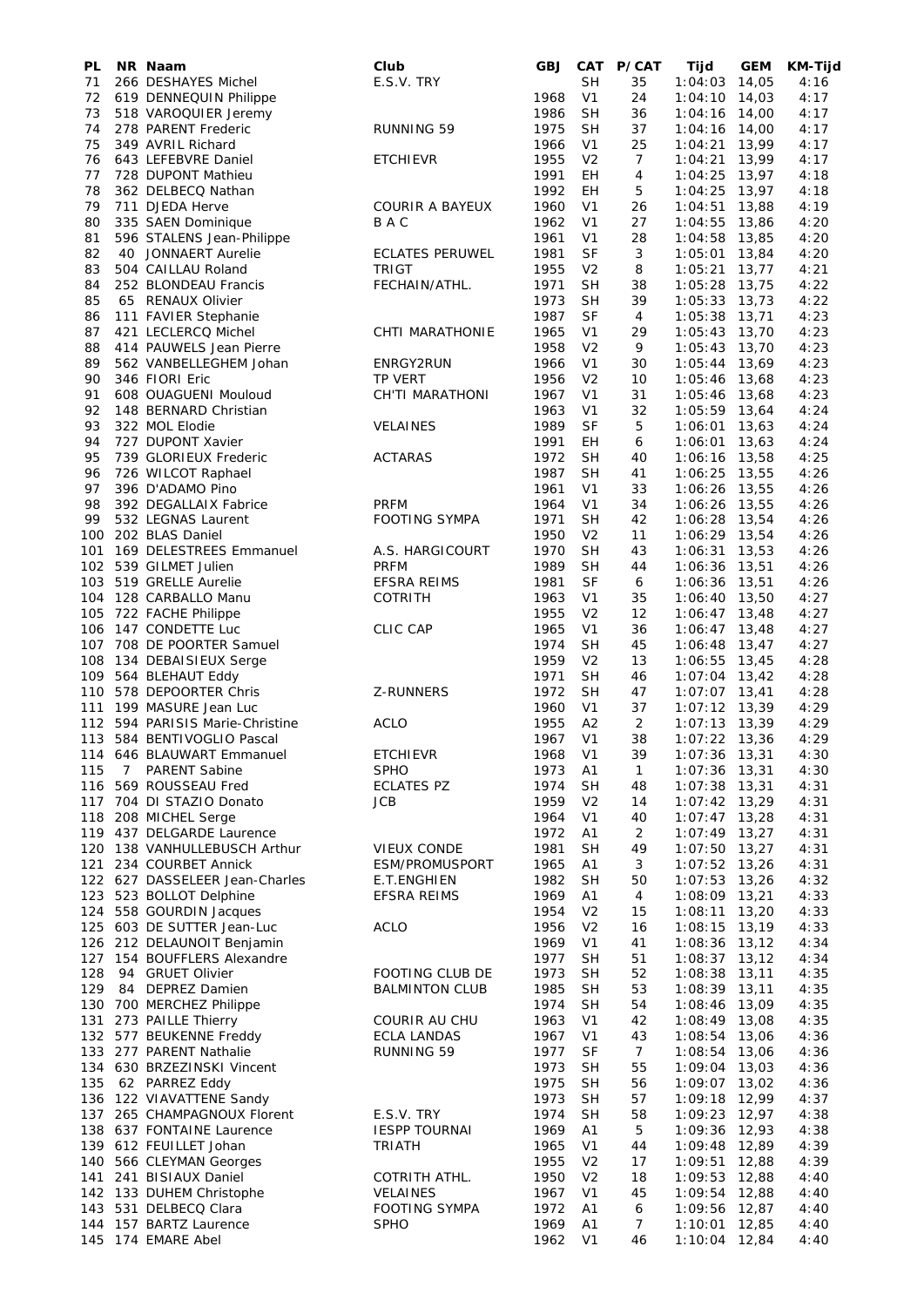| PL       | NR Naam                                                   | Club                                | <b>GBJ</b>   |                                  | CAT P/CAT            | Tijd                               | <b>GEM</b> | KM-Tijd      |
|----------|-----------------------------------------------------------|-------------------------------------|--------------|----------------------------------|----------------------|------------------------------------|------------|--------------|
| 71       | 266 DESHAYES Michel                                       | E.S.V. TRY                          |              | SН                               | 35                   | 1:04:03                            | 14,05      | 4:16         |
| 72       | 619 DENNEQUIN Philippe                                    |                                     | 1968         | V <sub>1</sub>                   | 24                   | $1:04:10$ 14,03                    |            | 4:17         |
| 73       | 518 VAROQUIER Jeremy                                      |                                     | 1986         | <b>SH</b>                        | 36                   | 1:04:16                            | 14,00      | 4:17         |
| 74<br>75 | 278 PARENT Frederic<br>349 AVRIL Richard                  | <b>RUNNING 59</b>                   | 1975<br>1966 | <b>SH</b><br>V <sub>1</sub>      | 37<br>25             | $1:04:16$ 14,00<br>1:04:21         | 13,99      | 4:17<br>4:17 |
| 76       | 643 LEFEBVRE Daniel                                       | <b>ETCHIEVR</b>                     | 1955         | V <sub>2</sub>                   | $\overline{7}$       | 1:04:21                            | 13,99      | 4:17         |
| 77       | 728 DUPONT Mathieu                                        |                                     | 1991         | EН                               | 4                    | 1:04:25                            | 13,97      | 4:18         |
| 78       | 362 DELBECQ Nathan                                        |                                     | 1992         | EН                               | 5                    | $1:04:25$ 13,97                    |            | 4:18         |
| 79       | 711 DJEDA Herve                                           | <b>COURIR A BAYEUX</b>              | 1960         | V <sub>1</sub>                   | 26                   | 1:04:51                            | 13,88      | 4:19         |
| 80       | 335 SAEN Dominique                                        | BAC                                 | 1962         | V <sub>1</sub>                   | 27                   | 1:04:55                            | 13,86      | 4:20         |
| 81       | 596 STALENS Jean-Philippe                                 |                                     | 1961         | V <sub>1</sub>                   | 28                   | $1:04:58$ 13,85                    |            | 4:20         |
| 82       | 40 JONNAERT Aurelie                                       | <b>ECLATES PERUWEL</b>              | 1981         | <b>SF</b>                        | 3                    | 1:05:01                            | 13,84      | 4:20         |
| 83       | 504 CAILLAU Roland                                        | <b>TRIGT</b>                        | 1955         | V <sub>2</sub>                   | 8                    | $1:05:21$ 13,77                    |            | 4:21         |
| 84       | 252 BLONDEAU Francis                                      | FECHAIN/ATHL.                       | 1971         | SН                               | 38                   | 1:05:28 13,75                      |            | 4:22         |
| 85       | 65 RENAUX Olivier                                         |                                     | 1973         | <b>SH</b><br><b>SF</b>           | 39                   | $1:05:33$ 13,73                    |            | 4:22         |
| 86<br>87 | 111 FAVIER Stephanie<br>421 LECLERCQ Michel               | CHTI MARATHONIE                     | 1987<br>1965 | V <sub>1</sub>                   | 4<br>29              | $1:05:38$ 13,71<br>$1:05:43$ 13,70 |            | 4:23<br>4:23 |
| 88       | 414 PAUWELS Jean Pierre                                   |                                     | 1958         | V <sub>2</sub>                   | 9                    | $1:05:43$ 13,70                    |            | 4:23         |
| 89       | 562 VANBELLEGHEM Johan                                    | ENRGY2RUN                           | 1966         | V <sub>1</sub>                   | 30                   | $1:05:44$ 13,69                    |            | 4:23         |
| 90       | 346 FIORI Eric                                            | TP VERT                             | 1956         | V <sub>2</sub>                   | 10                   | $1:05:46$ 13,68                    |            | 4:23         |
| 91       | 608 OUAGUENI Mouloud                                      | CH'TI MARATHONI                     | 1967         | V <sub>1</sub>                   | 31                   | 1:05:46                            | 13,68      | 4:23         |
| 92       | 148 BERNARD Christian                                     |                                     | 1963         | V <sub>1</sub>                   | 32                   | 1:05:59 13,64                      |            | 4:24         |
| 93       | 322 MOL Elodie                                            | <b>VELAINES</b>                     | 1989         | SF                               | 5                    | 1:06:01                            | 13,63      | 4:24         |
| 94       | 727 DUPONT Xavier                                         |                                     | 1991         | EH                               | 6                    | 1:06:01                            | 13,63      | 4:24         |
| 95       | 739 GLORIEUX Frederic                                     | <b>ACTARAS</b>                      | 1972         | <b>SH</b>                        | 40                   | 1:06:16 13,58                      |            | 4:25         |
| 96       | 726 WILCOT Raphael                                        |                                     | 1987         | SН                               | 41                   | $1:06:25$ 13,55                    |            | 4:26         |
| 97       | 396 D'ADAMO Pino                                          |                                     | 1961         | V <sub>1</sub>                   | 33                   | 1:06:26 13,55                      |            | 4:26         |
| 98<br>99 | 392 DEGALLAIX Fabrice<br>532 LEGNAS Laurent               | <b>PRFM</b><br><b>FOOTING SYMPA</b> | 1964<br>1971 | V <sub>1</sub><br><b>SH</b>      | 34<br>42             | 1:06:26 13,55<br>$1:06:28$ 13,54   |            | 4:26<br>4:26 |
|          | 100 202 BLAS Daniel                                       |                                     | 1950         | V <sub>2</sub>                   | 11                   | 1:06:29 13,54                      |            | 4:26         |
| 101      | 169 DELESTREES Emmanuel                                   | A.S. HARGICOURT                     | 1970         | <b>SH</b>                        | 43                   | $1:06:31$ 13,53                    |            | 4:26         |
|          | 102 539 GILMET Julien                                     | <b>PRFM</b>                         | 1989         | <b>SH</b>                        | 44                   | 1:06:36                            | 13,51      | 4:26         |
|          | 103 519 GRELLE Aurelie                                    | <b>EFSRA REIMS</b>                  | 1981         | <b>SF</b>                        | 6                    | $1:06:36$ 13,51                    |            | 4:26         |
| 104      | 128 CARBALLO Manu                                         | <b>COTRITH</b>                      | 1963         | V <sub>1</sub>                   | 35                   | $1:06:40$ 13,50                    |            | 4:27         |
|          | 105 722 FACHE Philippe                                    |                                     | 1955         | V <sub>2</sub>                   | 12                   | $1:06:47$ 13,48                    |            | 4:27         |
|          | 106 147 CONDETTE Luc                                      | <b>CLIC CAP</b>                     | 1965         | V <sub>1</sub>                   | 36                   | $1:06:47$ 13,48                    |            | 4:27         |
|          | 107 708 DE POORTER Samuel                                 |                                     | 1974         | <b>SH</b>                        | 45                   | $1:06:48$ 13,47                    |            | 4:27         |
|          | 108 134 DEBAISIEUX Serge                                  |                                     | 1959         | V <sub>2</sub>                   | 13                   | $1:06:55$ 13,45                    |            | 4:28         |
|          | 109 564 BLEHAUT Eddy                                      |                                     | 1971         | <b>SH</b>                        | 46                   | $1:07:04$ 13,42                    |            | 4:28         |
|          | 110 578 DEPOORTER Chris<br>199 MASURE Jean Luc            | Z-RUNNERS                           | 1972         | <b>SH</b>                        | 47                   | $1:07:07$ 13,41                    |            | 4:28         |
| 111      | 112 594 PARISIS Marie-Christine                           | <b>ACLO</b>                         | 1960<br>1955 | V1<br>A2                         | 37<br>$\overline{2}$ | $1:07:12$ 13,39<br>$1:07:13$ 13,39 |            | 4:29<br>4:29 |
|          | 113 584 BENTIVOGLIO Pascal                                |                                     | 1967         | V <sub>1</sub>                   | 38                   | $1:07:22$ 13,36                    |            | 4:29         |
|          | 114 646 BLAUWART Emmanuel                                 | <b>ETCHIEVR</b>                     | 1968         | V1                               | 39                   | $1:07:36$ 13,31                    |            | 4:30         |
| 115      | 7 PARENT Sabine                                           | <b>SPHO</b>                         | 1973         | A1                               | $\mathbf{1}$         | $1:07:36$ 13,31                    |            | 4:30         |
|          | 116 569 ROUSSEAU Fred                                     | <b>ECLATES PZ</b>                   | 1974         | <b>SH</b>                        | 48                   | $1:07:38$ 13,31                    |            | 4:31         |
|          | 117 704 DI STAZIO Donato                                  | <b>JCB</b>                          | 1959         | V <sub>2</sub>                   | 14                   | $1:07:42$ 13,29                    |            | 4:31         |
|          | 118 208 MICHEL Serge                                      |                                     | 1964         | V <sub>1</sub>                   | 40                   | $1:07:47$ 13,28                    |            | 4:31         |
|          | 119 437 DELGARDE Laurence                                 |                                     | 1972         | A <sub>1</sub>                   | 2                    | $1:07:49$ 13,27                    |            | 4:31         |
|          | 120 138 VANHULLEBUSCH Arthur                              | <b>VIEUX CONDE</b>                  | 1981         | <b>SH</b>                        | 49                   | $1:07:50$ 13,27                    |            | 4:31         |
|          | 121 234 COURBET Annick                                    | ESM/PROMUSPORT                      | 1965         | Α1                               | 3                    | $1:07:52$ 13,26                    |            | 4:31         |
|          | 122 627 DASSELEER Jean-Charles<br>123 523 BOLLOT Delphine | E.T.ENGHIEN<br>EFSRA REIMS          | 1982<br>1969 | <b>SH</b><br>A <sub>1</sub>      | 50<br>4              | 1:07:53 13,26<br>1:08:09 13,21     |            | 4:32<br>4:33 |
|          | 124 558 GOURDIN Jacques                                   |                                     | 1954         | V <sub>2</sub>                   | 15                   | $1:08:11$ 13,20                    |            | 4:33         |
|          | 125 603 DE SUTTER Jean-Luc                                | <b>ACLO</b>                         | 1956         | V <sub>2</sub>                   | 16                   | $1:08:15$ 13,19                    |            | 4:33         |
|          | 126 212 DELAUNOIT Benjamin                                |                                     | 1969         | V <sub>1</sub>                   | 41                   | $1:08:36$ 13,12                    |            | 4:34         |
|          | 127 154 BOUFFLERS Alexandre                               |                                     | 1977         | <b>SH</b>                        | 51                   | $1:08:37$ 13,12                    |            | 4:34         |
| 128      | 94 GRUET Olivier                                          | FOOTING CLUB DE                     | 1973         | <b>SH</b>                        | 52                   | 1:08:38 13,11                      |            | 4:35         |
| 129      | 84 DEPREZ Damien                                          | <b>BALMINTON CLUB</b>               | 1985         | <b>SH</b>                        | 53                   | $1:08:39$ 13,11                    |            | 4:35         |
|          | 130 700 MERCHEZ Philippe                                  |                                     | 1974         | <b>SH</b>                        | 54                   | 1:08:46 13,09                      |            | 4:35         |
|          | 131 273 PAILLE Thierry                                    | <b>COURIR AU CHU</b>                | 1963         | V1                               | 42                   | $1:08:49$ 13,08                    |            | 4:35         |
|          | 132 577 BEUKENNE Freddy                                   | <b>ECLA LANDAS</b>                  | 1967         | V <sub>1</sub>                   | 43                   | 1:08:54 13,06                      |            | 4:36         |
|          | 133 277 PARENT Nathalie<br>134 630 BRZEZINSKI Vincent     | RUNNING 59                          | 1977<br>1973 | <b>SF</b><br><b>SH</b>           | $7^{\circ}$<br>55    | 1:08:54 13,06<br>$1:09:04$ 13,03   |            | 4:36<br>4:36 |
| 135      | 62 PARREZ Eddy                                            |                                     | 1975         | <b>SH</b>                        | 56                   | $1:09:07$ 13,02                    |            | 4:36         |
|          | 136 122 VIAVATTENE Sandy                                  |                                     | 1973         | <b>SH</b>                        | 57                   | 1:09:18 12,99                      |            | 4:37         |
|          | 137 265 CHAMPAGNOUX Florent                               | E.S.V. TRY                          | 1974         | <b>SH</b>                        | 58                   | 1:09:23 12,97                      |            | 4:38         |
|          | 138 637 FONTAINE Laurence                                 | <b>IESPP TOURNAI</b>                | 1969         | A1                               | 5                    | 1:09:36                            | 12,93      | 4:38         |
|          | 139 612 FEUILLET Johan                                    | TRIATH                              | 1965         | V <sub>1</sub>                   | 44                   | 1:09:48 12,89                      |            | 4:39         |
|          | 140 566 CLEYMAN Georges                                   |                                     | 1955         | V <sub>2</sub>                   | 17                   | 1:09:51                            | 12,88      | 4:39         |
|          | 141 241 BISIAUX Daniel                                    | COTRITH ATHL.                       | 1950         | V <sub>2</sub>                   | 18                   | 1:09:53 12,88                      |            | 4:40         |
|          | 142 133 DUHEM Christophe                                  | <b>VELAINES</b>                     | 1967         | V <sub>1</sub>                   | 45                   | 1:09:54 12,88                      |            | 4:40         |
|          | 143 531 DELBECQ Clara                                     | <b>FOOTING SYMPA</b>                | 1972         | Α1                               | 6                    | 1:09:56 12,87                      |            | 4:40         |
|          | 144 157 BARTZ Laurence<br>145 174 EMARE Abel              | <b>SPHO</b>                         | 1969<br>1962 | A <sub>1</sub><br>V <sub>1</sub> | 7<br>46              | 1:10:01 12,85<br>1:10:04 12,84     |            | 4:40<br>4:40 |
|          |                                                           |                                     |              |                                  |                      |                                    |            |              |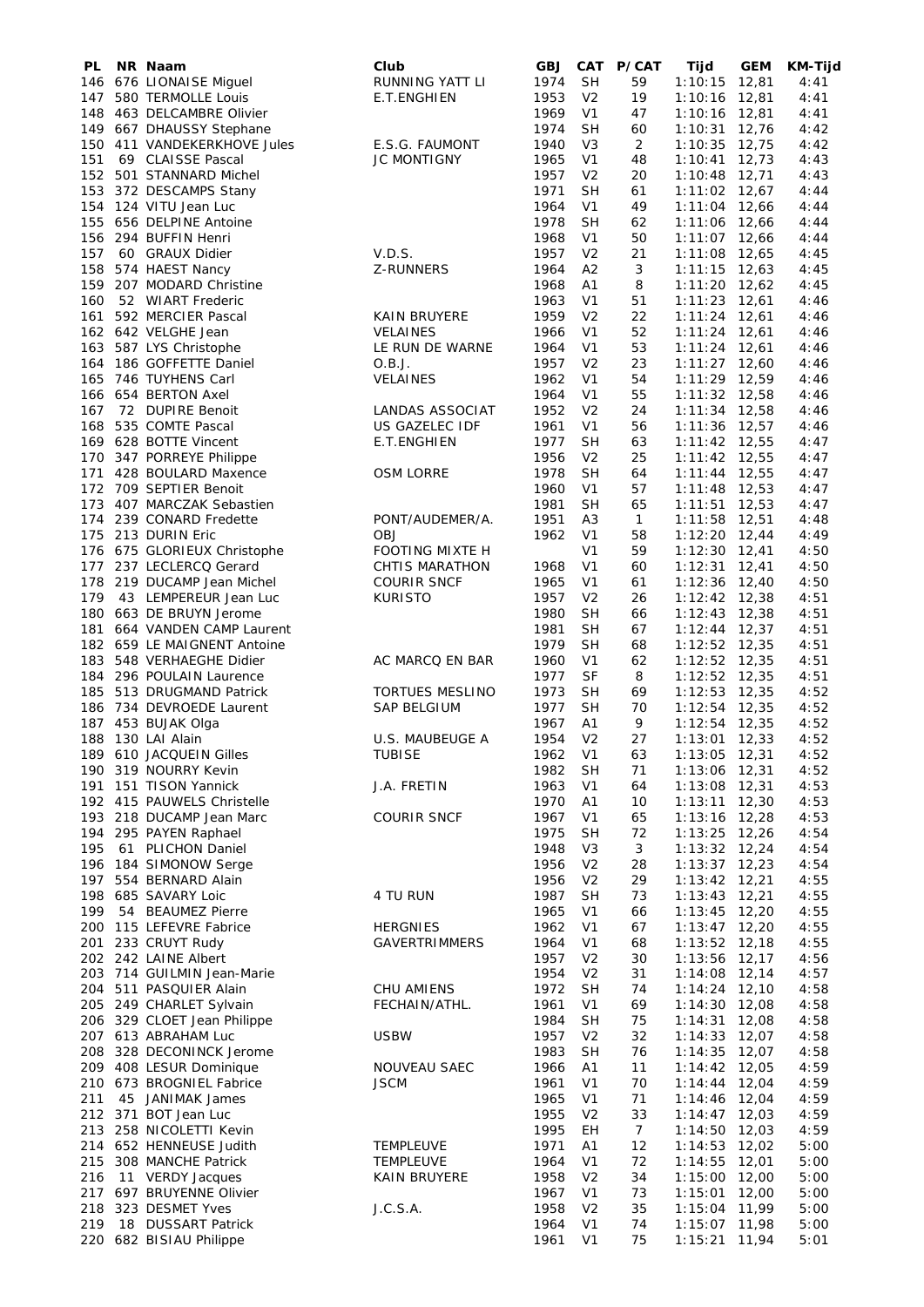| PL  | NR Naam                     | Club                   | <b>GBJ</b> | <b>CAT</b>     | P/CAT           | Tijd            | GEM   | KM-Tijd |
|-----|-----------------------------|------------------------|------------|----------------|-----------------|-----------------|-------|---------|
|     | 146 676 LIONAISE Miguel     | RUNNING YATT LI        | 1974       | <b>SH</b>      | 59              | 1:10:15         | 12,81 | 4:41    |
|     | 147 580 TERMOLLE Louis      | E.T.ENGHIEN            | 1953       | V <sub>2</sub> | 19              | $1:10:16$ 12,81 |       | 4:41    |
| 148 | 463 DELCAMBRE Olivier       |                        | 1969       | V <sub>1</sub> | 47              | $1:10:16$ 12,81 |       | 4:41    |
|     | 149 667 DHAUSSY Stephane    |                        | 1974       | SН             | 60              | $1:10:31$ 12,76 |       | 4:42    |
|     | 150 411 VANDEKERKHOVE Jules | E.S.G. FAUMONT         | 1940       | V <sub>3</sub> | 2               | 1:10:35         | 12,75 | 4:42    |
| 151 | 69 CLAISSE Pascal           | JC MONTIGNY            | 1965       | V <sub>1</sub> | 48              | $1:10:41$ 12,73 |       | 4:43    |
|     | 152 501 STANNARD Michel     |                        | 1957       | V <sub>2</sub> | 20              | $1:10:48$ 12,71 |       | 4:43    |
|     | 153 372 DESCAMPS Stany      |                        | 1971       | <b>SH</b>      | 61              | $1:11:02$ 12,67 |       | 4:44    |
|     | 154 124 VITU Jean Luc       |                        | 1964       | V <sub>1</sub> | 49              | $1:11:04$ 12,66 |       | 4:44    |
| 155 | 656 DELPINE Antoine         |                        | 1978       | <b>SH</b>      | 62              | 1:11:06 12,66   |       | 4:44    |
|     | 156 294 BUFFIN Henri        |                        | 1968       | V <sub>1</sub> | 50              | $1:11:07$ 12,66 |       | 4:44    |
| 157 | 60 GRAUX Didier             | V.D.S.                 | 1957       | V <sub>2</sub> | 21              | $1:11:08$ 12,65 |       | 4:45    |
| 158 | 574 HAEST Nancy             | Z-RUNNERS              | 1964       | A2             | 3               | $1:11:15$ 12,63 |       | 4:45    |
|     | 159 207 MODARD Christine    |                        | 1968       | A1             | 8               | $1:11:20$ 12,62 |       | 4:45    |
| 160 | 52 WIART Frederic           |                        | 1963       | V <sub>1</sub> | 51              | $1:11:23$ 12,61 |       | 4:46    |
| 161 | 592 MERCIER Pascal          | KAIN BRUYERE           | 1959       | V <sub>2</sub> | 22              | $1:11:24$ 12,61 |       | 4:46    |
|     |                             |                        |            |                |                 |                 |       |         |
|     | 162 642 VELGHE Jean         | <b>VELAINES</b>        | 1966       | V <sub>1</sub> | 52              | $1:11:24$ 12,61 |       | 4:46    |
|     | 163 587 LYS Christophe      | LE RUN DE WARNE        | 1964       | V <sub>1</sub> | 53              | $1:11:24$ 12,61 |       | 4:46    |
|     | 164 186 GOFFETTE Daniel     | O.B.J.                 | 1957       | V <sub>2</sub> | 23              | $1:11:27$ 12,60 |       | 4:46    |
|     | 165 746 TUYHENS Carl        | <b>VELAINES</b>        | 1962       | V <sub>1</sub> | 54              | $1:11:29$ 12,59 |       | 4:46    |
|     | 166 654 BERTON Axel         |                        | 1964       | V <sub>1</sub> | 55              | $1:11:32$ 12,58 |       | 4:46    |
| 167 | 72 DUPIRE Benoit            | LANDAS ASSOCIAT        | 1952       | V <sub>2</sub> | 24              | $1:11:34$ 12,58 |       | 4:46    |
|     | 168 535 COMTE Pascal        | US GAZELEC IDF         | 1961       | V <sub>1</sub> | 56              | 1:11:36 12,57   |       | 4:46    |
|     | 169 628 BOTTE Vincent       | E.T.ENGHIEN            | 1977       | <b>SH</b>      | 63              | $1:11:42$ 12,55 |       | 4:47    |
|     | 170 347 PORREYE Philippe    |                        | 1956       | V <sub>2</sub> | 25              | $1:11:42$ 12,55 |       | 4:47    |
|     | 171 428 BOULARD Maxence     | <b>OSM LORRE</b>       | 1978       | <b>SH</b>      | 64              | $1:11:44$ 12,55 |       | 4:47    |
|     | 172 709 SEPTIER Benoit      |                        | 1960       | V <sub>1</sub> | 57              | $1:11:48$ 12,53 |       | 4:47    |
| 173 | 407 MARCZAK Sebastien       |                        | 1981       | <b>SH</b>      | 65              | $1:11:51$ 12,53 |       | 4:47    |
| 174 | 239 CONARD Fredette         | PONT/AUDEMER/A.        | 1951       | A <sub>3</sub> | $\mathbf{1}$    | 1:11:58 12,51   |       | 4:48    |
|     | 175 213 DURIN Eric          | <b>OBJ</b>             | 1962       | V <sub>1</sub> | 58              | $1:12:20$ 12,44 |       | 4:49    |
|     | 176 675 GLORIEUX Christophe | FOOTING MIXTE H        |            | V <sub>1</sub> | 59              | $1:12:30$ 12,41 |       | 4:50    |
|     | 177 237 LECLERCQ Gerard     | CHTIS MARATHON         | 1968       | V <sub>1</sub> | 60              | $1:12:31$ 12,41 |       | 4:50    |
|     | 178 219 DUCAMP Jean Michel  | <b>COURIR SNCF</b>     | 1965       | V <sub>1</sub> | 61              | 1:12:36 12,40   |       | 4:50    |
| 179 | 43 LEMPEREUR Jean Luc       | <b>KURISTO</b>         | 1957       | V <sub>2</sub> | 26              | $1:12:42$ 12,38 |       | 4:51    |
|     | 180 663 DE BRUYN Jerome     |                        | 1980       | <b>SH</b>      | 66              |                 |       | 4:51    |
|     |                             |                        |            |                |                 | $1:12:43$ 12,38 |       |         |
|     | 181 664 VANDEN CAMP Laurent |                        | 1981       | <b>SH</b>      | 67              | $1:12:44$ 12,37 |       | 4:51    |
|     | 182 659 LE MAIGNENT Antoine |                        | 1979       | <b>SH</b>      | 68              | $1:12:52$ 12,35 |       | 4:51    |
|     | 183 548 VERHAEGHE Didier    | AC MARCQ EN BAR        | 1960       | V <sub>1</sub> | 62              | $1:12:52$ 12,35 |       | 4:51    |
|     | 184 296 POULAIN Laurence    |                        | 1977       | <b>SF</b>      | 8               | $1:12:52$ 12,35 |       | 4:51    |
|     | 185 513 DRUGMAND Patrick    | <b>TORTUES MESLINO</b> | 1973       | <b>SH</b>      | 69              | $1:12:53$ 12,35 |       | 4:52    |
|     | 186 734 DEVROEDE Laurent    | <b>SAP BELGIUM</b>     | 1977       | <b>SH</b>      | 70              | $1:12:54$ 12,35 |       | 4:52    |
| 187 | 453 BUJAK Olga              |                        | 1967       | Α1             | 9               | 1:12:54 12,35   |       | 4:52    |
| 188 | 130 LAI Alain               | U.S. MAUBEUGE A        | 1954       | V <sub>2</sub> | 27              | $1:13:01$ 12,33 |       | 4:52    |
|     | 189 610 JACQUEIN Gilles     | <b>TUBISE</b>          | 1962       | V <sub>1</sub> | 63              | $1:13:05$ 12,31 |       | 4:52    |
|     | 190 319 NOURRY Kevin        |                        | 1982       | <b>SH</b>      | 71              | 1:13:06 12,31   |       | 4:52    |
|     | 191 151 TISON Yannick       | J.A. FRETIN            | 1963       | V <sub>1</sub> | 64              | 1:13:08 12,31   |       | 4:53    |
|     | 192 415 PAUWELS Christelle  |                        | 1970       | A1             | 10              | $1:13:11$ 12,30 |       | 4:53    |
|     | 193 218 DUCAMP Jean Marc    | <b>COURIR SNCF</b>     | 1967       | V1             | 65              | $1:13:16$ 12,28 |       | 4:53    |
|     | 194 295 PAYEN Raphael       |                        | 1975       | <b>SH</b>      | 72              | 1:13:25 12,26   |       | 4:54    |
| 195 | 61 PLICHON Daniel           |                        | 1948       | V <sub>3</sub> | 3               | $1:13:32$ 12,24 |       | 4:54    |
|     | 196 184 SIMONOW Serge       |                        | 1956       | V <sub>2</sub> | 28              | $1:13:37$ 12,23 |       | 4:54    |
|     | 197 554 BERNARD Alain       |                        | 1956       | V <sub>2</sub> | 29              | $1:13:42$ 12,21 |       | 4:55    |
|     | 198 685 SAVARY Loic         | 4 TU RUN               | 1987       | <b>SH</b>      | 73              | $1:13:43$ 12,21 |       | 4:55    |
| 199 | 54 BEAUMEZ Pierre           |                        | 1965       | V1             | 66              | $1:13:45$ 12,20 |       | 4:55    |
|     | 200 115 LEFEVRE Fabrice     | <b>HERGNIES</b>        | 1962       | V <sub>1</sub> | 67              | $1:13:47$ 12,20 |       | 4:55    |
|     | 201 233 CRUYT Rudy          | <b>GAVERTRIMMERS</b>   | 1964       | V <sub>1</sub> | 68              | $1:13:52$ 12,18 |       | 4:55    |
|     | 202 242 LAINE Albert        |                        | 1957       | V <sub>2</sub> | 30              | 1:13:56 12,17   |       | 4:56    |
|     | 203 714 GUILMIN Jean-Marie  |                        | 1954       | V <sub>2</sub> | 31              | 1:14:08 12,14   |       | 4:57    |
|     |                             |                        | 1972       |                |                 |                 |       |         |
|     | 204 511 PASQUIER Alain      | CHU AMIENS             |            | <b>SH</b>      | 74              | $1:14:24$ 12,10 |       | 4:58    |
|     | 205 249 CHARLET Sylvain     | FECHAIN/ATHL.          | 1961       | V <sub>1</sub> | 69              | $1:14:30$ 12,08 |       | 4:58    |
|     | 206 329 CLOET Jean Philippe |                        | 1984       | <b>SH</b>      | 75              | $1:14:31$ 12,08 |       | 4:58    |
|     | 207 613 ABRAHAM Luc         | <b>USBW</b>            | 1957       | V <sub>2</sub> | 32              | $1:14:33$ 12,07 |       | 4:58    |
|     | 208 328 DECONINCK Jerome    |                        | 1983       | <b>SH</b>      | 76              | $1:14:35$ 12,07 |       | 4:58    |
|     | 209 408 LESUR Dominique     | NOUVEAU SAEC           | 1966       | A <sub>1</sub> | 11              | $1:14:42$ 12,05 |       | 4:59    |
|     | 210 673 BROGNIEL Fabrice    | <b>JSCM</b>            | 1961       | V <sub>1</sub> | 70              | $1:14:44$ 12,04 |       | 4:59    |
| 211 | 45 JANIMAK James            |                        | 1965       | V1             | 71              | $1:14:46$ 12,04 |       | 4:59    |
|     | 212 371 BOT Jean Luc        |                        | 1955       | V <sub>2</sub> | 33              | $1:14:47$ 12,03 |       | 4:59    |
|     | 213 258 NICOLETTI Kevin     |                        | 1995       | EH             | $7\overline{ }$ | $1:14:50$ 12,03 |       | 4:59    |
|     | 214 652 HENNEUSE Judith     | <b>TEMPLEUVE</b>       | 1971       | Α1             | 12              | $1:14:53$ 12,02 |       | 5:00    |
|     | 215 308 MANCHE Patrick      | <b>TEMPLEUVE</b>       | 1964       | V <sub>1</sub> | 72              | 1:14:55 12,01   |       | 5:00    |
| 216 | 11 VERDY Jacques            | KAIN BRUYERE           | 1958       | V <sub>2</sub> | 34              | 1:15:00 12,00   |       | 5:00    |
|     | 217 697 BRUYENNE Olivier    |                        | 1967       | V <sub>1</sub> | 73              | $1:15:01$ 12,00 |       | 5:00    |
|     | 218 323 DESMET Yves         | J.C.S.A.               | 1958       | V <sub>2</sub> | 35              | 1:15:04 11,99   |       | 5:00    |
| 219 | 18 DUSSART Patrick          |                        | 1964       | V <sub>1</sub> | 74              | 1:15:07 11,98   |       | 5:00    |
|     | 220 682 BISIAU Philippe     |                        | 1961       | V <sub>1</sub> | 75              | 1:15:21 11,94   |       | 5:01    |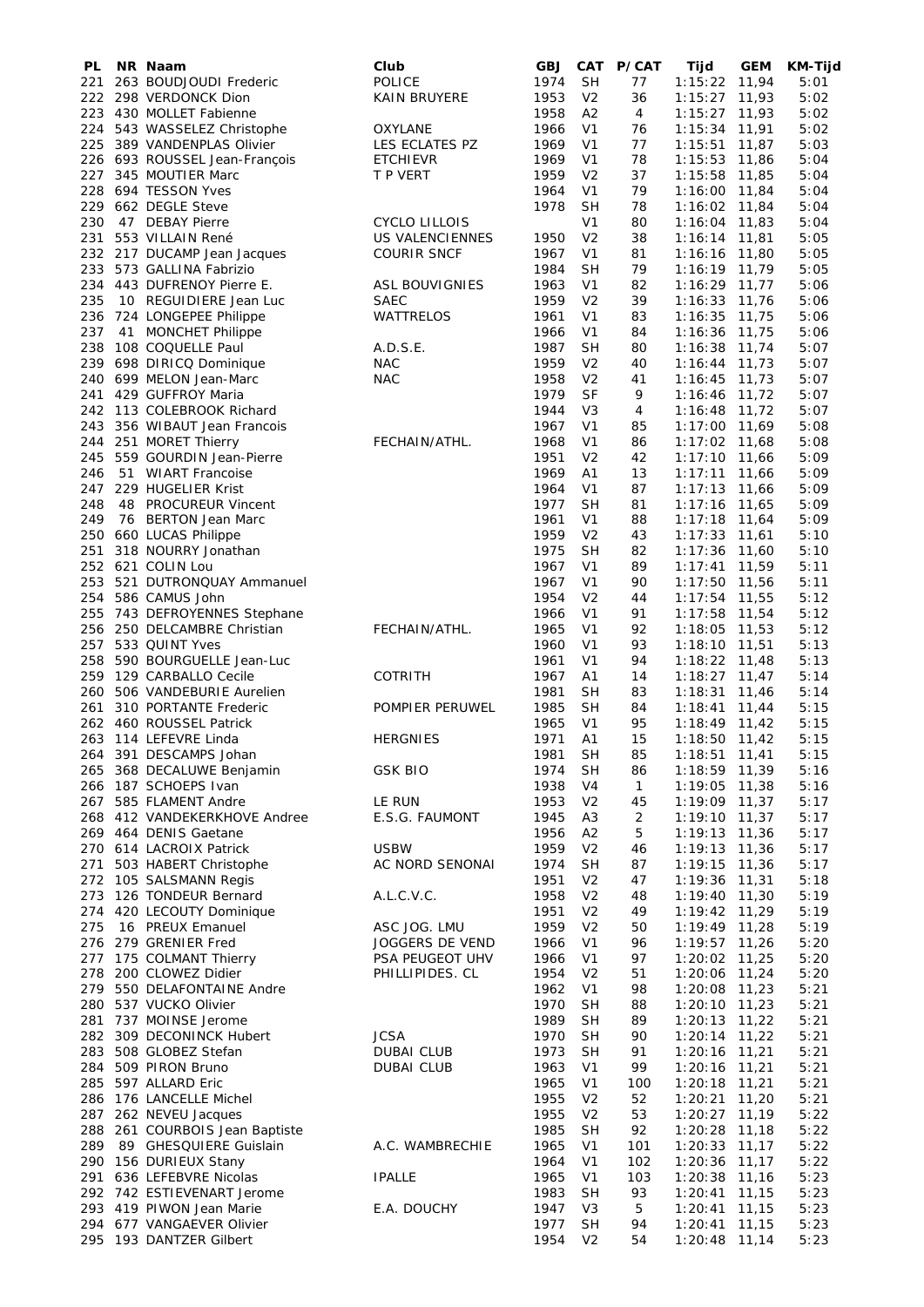| PL         | NR Naam                                                | Club                        | <b>GBJ</b>   | <b>CAT</b>                       | <b>P/CAT</b> | Tijd                               | <b>GEM</b> | <b>KM-Tijd</b> |
|------------|--------------------------------------------------------|-----------------------------|--------------|----------------------------------|--------------|------------------------------------|------------|----------------|
| 221        | 263 BOUDJOUDI Frederic                                 | <b>POLICE</b>               | 1974         | <b>SH</b>                        | 77           | 1:15:22 11,94                      |            | 5:01           |
|            | 222 298 VERDONCK Dion                                  | <b>KAIN BRUYERE</b>         | 1953         | V <sub>2</sub>                   | 36           | 1:15:27 11,93                      |            | 5:02           |
|            | 223 430 MOLLET Fabienne                                |                             | 1958         | A <sub>2</sub>                   | 4            | $1:15:27$ 11,93                    |            | 5:02           |
|            | 224 543 WASSELEZ Christophe                            | OXYLANE                     | 1966         | V <sub>1</sub>                   | 76           | $1:15:34$ 11,91                    |            | 5:02           |
| 225        | 389 VANDENPLAS Olivier                                 | LES ECLATES PZ              | 1969         | V1                               | 77           | $1:15:51$ 11,87                    |            | 5:03           |
|            | 226 693 ROUSSEL Jean-François<br>227 345 MOUTIER Marc  | <b>ETCHIEVR</b><br>T P VERT | 1969<br>1959 | V <sub>1</sub><br>V <sub>2</sub> | 78<br>37     | $1:15:53$ 11,86                    |            | 5:04<br>5:04   |
|            | 228 694 TESSON Yves                                    |                             | 1964         | V <sub>1</sub>                   | 79           | $1:15:58$ 11,85<br>1:16:00 11,84   |            | 5:04           |
|            | 229 662 DEGLE Steve                                    |                             | 1978         | <b>SH</b>                        | 78           | $1:16:02$ 11,84                    |            | 5:04           |
| 230        | 47 DEBAY Pierre                                        | <b>CYCLO LILLOIS</b>        |              | V <sub>1</sub>                   | 80           | $1:16:04$ 11,83                    |            | 5:04           |
|            | 231 553 VILLAIN René                                   | US VALENCIENNES             | 1950         | V <sub>2</sub>                   | 38           | $1:16:14$ 11,81                    |            | 5:05           |
|            | 232 217 DUCAMP Jean Jacques                            | COURIR SNCF                 | 1967         | V <sub>1</sub>                   | 81           | $1:16:16$ 11,80                    |            | 5:05           |
|            | 233 573 GALLINA Fabrizio                               |                             | 1984         | <b>SH</b>                        | 79           | $1:16:19$ 11,79                    |            | 5:05           |
|            | 234 443 DUFRENOY Pierre E.                             | <b>ASL BOUVIGNIES</b>       | 1963         | V <sub>1</sub>                   | 82           | 1:16:29 11,77                      |            | 5:06           |
| 235        | 10 REGUIDIERE Jean Luc                                 | <b>SAEC</b>                 | 1959         | V <sub>2</sub>                   | 39           | $1:16:33$ 11,76                    |            | 5:06           |
|            | 236 724 LONGEPEE Philippe                              | WATTRELOS                   | 1961         | V1                               | 83           | $1:16:35$ 11,75                    |            | 5:06           |
| 237        | 41 MONCHET Philippe                                    |                             | 1966         | V <sub>1</sub>                   | 84           | $1:16:36$ 11,75                    |            | 5:06           |
|            | 238 108 COQUELLE Paul                                  | A.D.S.E.                    | 1987         | <b>SH</b>                        | 80           | $1:16:38$ 11,74                    |            | 5:07           |
| 239        | 698 DIRICQ Dominique                                   | <b>NAC</b>                  | 1959         | V <sub>2</sub>                   | 40           | $1:16:44$ 11,73                    |            | 5:07           |
|            | 240 699 MELON Jean-Marc                                | <b>NAC</b>                  | 1958         | V <sub>2</sub>                   | 41           | $1:16:45$ 11,73                    |            | 5:07           |
| 241        | 429 GUFFROY Maria                                      |                             | 1979         | <b>SF</b>                        | 9            | $1:16:46$ 11,72                    |            | 5:07           |
|            | 242 113 COLEBROOK Richard                              |                             | 1944         | V <sub>3</sub>                   | 4            | $1:16:48$ 11,72                    |            | 5:07           |
| 243<br>244 | 356 WIBAUT Jean Francois<br>251 MORET Thierry          | FECHAIN/ATHL.               | 1967<br>1968 | V1<br>V <sub>1</sub>             | 85<br>86     | 1:17:00 11,69<br>$1:17:02$ 11,68   |            | 5:08<br>5:08   |
| 245        | 559 GOURDIN Jean-Pierre                                |                             | 1951         | V <sub>2</sub>                   | 42           | 1:17:10                            | 11,66      | 5:09           |
| 246        | 51 WIART Francoise                                     |                             | 1969         | A1                               | 13           | $1:17:11$ 11,66                    |            | 5:09           |
| 247        | 229 HUGELIER Krist                                     |                             | 1964         | V1                               | 87           | $1:17:13$ 11,66                    |            | 5:09           |
| 248        | 48 PROCUREUR Vincent                                   |                             | 1977         | <b>SH</b>                        | 81           | $1:17:16$ 11,65                    |            | 5:09           |
| 249        | 76 BERTON Jean Marc                                    |                             | 1961         | V1                               | 88           | $1:17:18$ 11,64                    |            | 5:09           |
| 250        | 660 LUCAS Philippe                                     |                             | 1959         | V <sub>2</sub>                   | 43           | $1:17:33$ 11,61                    |            | 5:10           |
| 251        | 318 NOURRY Jonathan                                    |                             | 1975         | <b>SH</b>                        | 82           | $1:17:36$ 11,60                    |            | 5:10           |
|            | 252 621 COLIN Lou                                      |                             | 1967         | V <sub>1</sub>                   | 89           | $1:17:41$ 11,59                    |            | 5:11           |
| 253        | 521 DUTRONQUAY Ammanuel                                |                             | 1967         | V1                               | 90           | $1:17:50$ 11,56                    |            | 5:11           |
|            | 254 586 CAMUS John                                     |                             | 1954         | V <sub>2</sub>                   | 44           | $1:17:54$ 11,55                    |            | 5:12           |
| 255        | 743 DEFROYENNES Stephane                               |                             | 1966         | V <sub>1</sub>                   | 91           | $1:17:58$ 11,54                    |            | 5:12           |
| 256        | 250 DELCAMBRE Christian                                | FECHAIN/ATHL.               | 1965         | V <sub>1</sub>                   | 92           | $1:18:05$ 11,53                    |            | 5:12           |
| 257        | 533 QUINT Yves                                         |                             | 1960         | V <sub>1</sub>                   | 93           | $1:18:10$ 11,51                    |            | 5:13           |
| 258        | 590 BOURGUELLE Jean-Luc                                |                             | 1961         | V <sub>1</sub>                   | 94           | 1:18:22 11,48                      |            | 5:13           |
|            | 259 129 CARBALLO Cecile<br>260 506 VANDEBURIE Aurelien | <b>COTRITH</b>              | 1967<br>1981 | A1<br><b>SH</b>                  | 14<br>83     | $1:18:27$ 11,47<br>$1:18:31$ 11,46 |            | 5:14<br>5:14   |
| 261        | 310 PORTANTE Frederic                                  | POMPIER PERUWEL             | 1985         | <b>SH</b>                        | 84           | $1:18:41$ 11,44                    |            | 5:15           |
|            | 262 460 ROUSSEL Patrick                                |                             | 1965         | V1                               | 95           | $1:18:49$ 11,42                    |            | 5:15           |
|            | 263 114 LEFEVRE Linda                                  | <b>HERGNIES</b>             | 1971         | A1                               | 15           | $1:18:50$ 11,42                    |            | 5:15           |
|            | 264 391 DESCAMPS Johan                                 |                             | 1981         | <b>SH</b>                        | 85           | $1:18:51$ 11,41                    |            | 5:15           |
|            | 265 368 DECALUWE Benjamin                              | <b>GSK BIO</b>              | 1974         | <b>SH</b>                        | 86           | 1:18:59 11,39                      |            | 5:16           |
|            | 266 187 SCHOEPS Ivan                                   |                             | 1938         | V4                               | $\mathbf{1}$ | 1:19:05 11,38                      |            | 5:16           |
|            | 267 585 FLAMENT Andre                                  | LE RUN                      | 1953         | V <sub>2</sub>                   | 45           | 1:19:09 11,37                      |            | 5:17           |
|            | 268 412 VANDEKERKHOVE Andree                           | E.S.G. FAUMONT              | 1945         | A <sub>3</sub>                   | 2            | $1:19:10$ 11,37                    |            | 5:17           |
|            | 269 464 DENIS Gaetane                                  |                             | 1956         | A2                               | 5            | 1:19:13 11,36                      |            | 5:17           |
|            | 270 614 LACROIX Patrick                                | <b>USBW</b>                 | 1959         | V <sub>2</sub>                   | 46           | $1:19:13$ 11,36                    |            | 5:17           |
| 271        | 503 HABERT Christophe                                  | AC NORD SENONAI             | 1974         | <b>SH</b>                        | 87           | $1:19:15$ 11,36                    |            | 5:17           |
|            | 272 105 SALSMANN Regis                                 |                             | 1951         | V <sub>2</sub>                   | 47           | $1:19:36$ 11,31                    |            | 5:18           |
|            | 273 126 TONDEUR Bernard                                | A.L.C.V.C.                  | 1958         | V <sub>2</sub>                   | 48           | $1:19:40$ 11,30                    |            | 5:19           |
| 275        | 274 420 LECOUTY Dominique<br>16 PREUX Emanuel          | ASC JOG. LMU                | 1951<br>1959 | V <sub>2</sub><br>V <sub>2</sub> | 49<br>50     | 1:19:42 11,29<br>1:19:49 11,28     |            | 5:19<br>5:19   |
|            | 276 279 GRENIER Fred                                   | JOGGERS DE VEND             | 1966         | V <sub>1</sub>                   | 96           | $1:19:57$ 11,26                    |            | 5:20           |
| 277        | 175 COLMANT Thierry                                    | PSA PEUGEOT UHV             | 1966         | V <sub>1</sub>                   | 97           | $1:20:02$ 11,25                    |            | 5:20           |
|            | 278 200 CLOWEZ Didier                                  | PHILLIPIDES. CL             | 1954         | V <sub>2</sub>                   | 51           | 1:20:06 11,24                      |            | 5:20           |
|            | 279 550 DELAFONTAINE Andre                             |                             | 1962         | V <sub>1</sub>                   | 98           | $1:20:08$ 11,23                    |            | 5:21           |
|            | 280 537 VUCKO Olivier                                  |                             | 1970         | <b>SH</b>                        | 88           | $1:20:10$ 11,23                    |            | 5:21           |
|            | 281 737 MOINSE Jerome                                  |                             | 1989         | <b>SH</b>                        | 89           | $1:20:13$ 11,22                    |            | 5:21           |
|            | 282 309 DECONINCK Hubert                               | <b>JCSA</b>                 | 1970         | <b>SH</b>                        | 90           | $1:20:14$ 11,22                    |            | 5:21           |
| 283        | 508 GLOBEZ Stefan                                      | <b>DUBAI CLUB</b>           | 1973         | <b>SH</b>                        | 91           | $1:20:16$ 11,21                    |            | 5:21           |
|            | 284 509 PIRON Bruno                                    | <b>DUBAI CLUB</b>           | 1963         | V <sub>1</sub>                   | 99           | $1:20:16$ 11,21                    |            | 5:21           |
|            | 285 597 ALLARD Eric                                    |                             | 1965         | V <sub>1</sub>                   | 100          | 1:20:18 11,21                      |            | 5:21           |
|            | 286 176 LANCELLE Michel                                |                             | 1955         | V <sub>2</sub>                   | 52           | $1:20:21$ 11,20                    |            | 5:21           |
|            | 287 262 NEVEU Jacques                                  |                             | 1955         | V <sub>2</sub>                   | 53           | $1:20:27$ 11,19                    |            | 5:22           |
|            | 288 261 COURBOIS Jean Baptiste                         |                             | 1985         | <b>SH</b>                        | 92           | $1:20:28$ 11,18                    |            | 5:22           |
|            | 289 89 GHESQUIERE Guislain                             | A.C. WAMBRECHIE             | 1965         | V <sub>1</sub>                   | 101          | $1:20:33$ 11,17                    |            | 5:22           |
|            | 290 156 DURIEUX Stany<br>291 636 LEFEBVRE Nicolas      | <b>IPALLE</b>               | 1964<br>1965 | V1<br>V1                         | 102<br>103   | $1:20:36$ 11,17<br>1:20:38 11,16   |            | 5:22<br>5:23   |
|            | 292 742 ESTIEVENART Jerome                             |                             | 1983         | <b>SH</b>                        | 93           | $1:20:41$ 11,15                    |            | 5:23           |
|            | 293 419 PIWON Jean Marie                               | E.A. DOUCHY                 | 1947         | V3                               | 5            | $1:20:41$ 11,15                    |            | 5:23           |
|            | 294 677 VANGAEVER Olivier                              |                             | 1977         | <b>SH</b>                        | 94           | $1:20:41$ 11,15                    |            | 5:23           |
|            | 295 193 DANTZER Gilbert                                |                             | 1954         | V <sub>2</sub>                   | 54           | $1:20:48$ 11,14                    |            | 5:23           |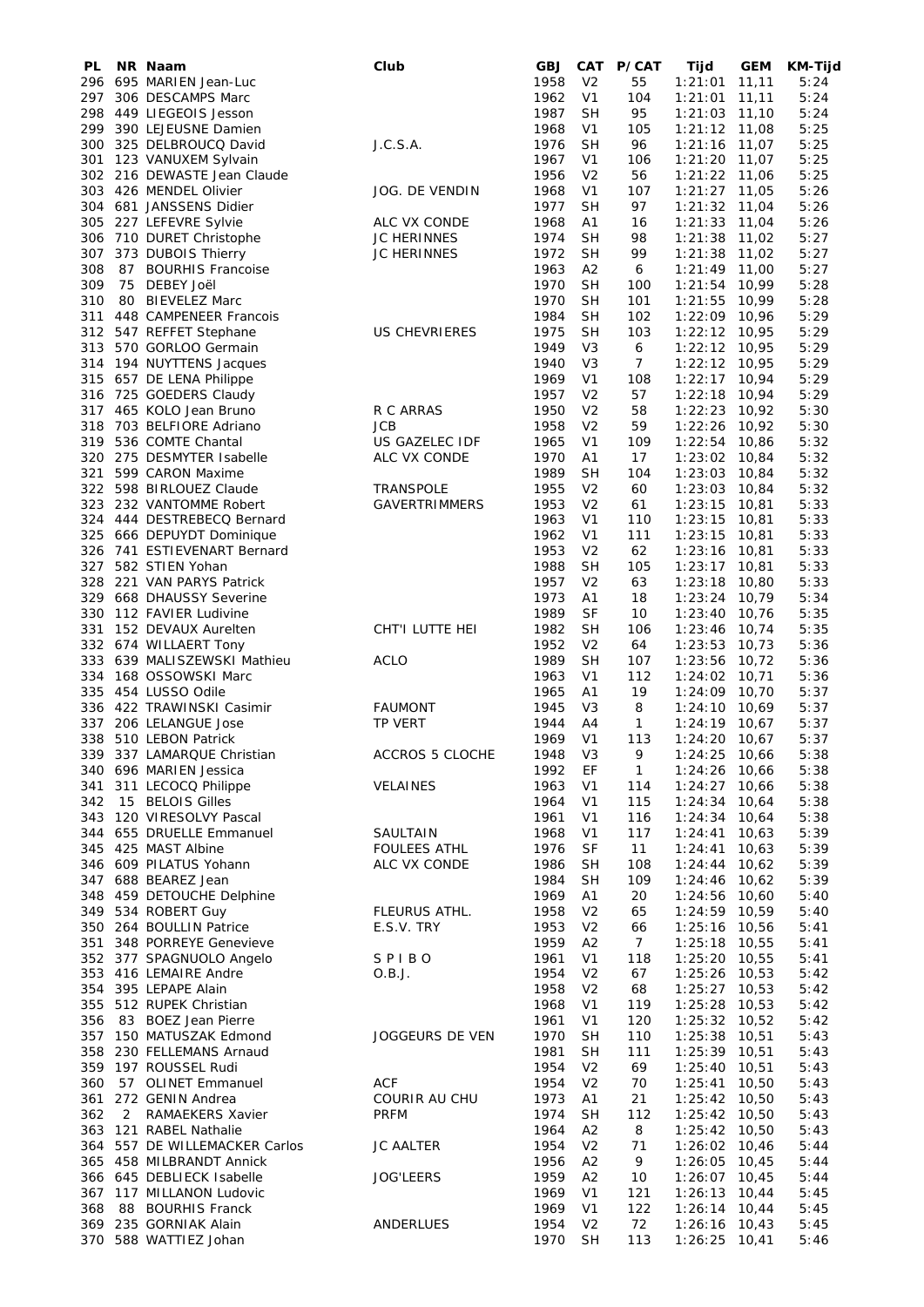| PL         |                | NR Naam                                         | Club                                     | GBJ          | <b>CAT</b>                       | P/CAT           | Tijd                               | <b>GEM</b>     | KM-Tijd      |
|------------|----------------|-------------------------------------------------|------------------------------------------|--------------|----------------------------------|-----------------|------------------------------------|----------------|--------------|
| 296<br>297 |                | 695 MARIEN Jean-Luc                             |                                          | 1958<br>1962 | V <sub>2</sub><br>V <sub>1</sub> | 55<br>104       | 1:21:01                            | 11,11          | 5:24<br>5:24 |
| 298        |                | 306 DESCAMPS Marc<br>449 LIEGEOIS Jesson        |                                          | 1987         | <b>SH</b>                        | 95              | 1:21:01<br>$1:21:03$ 11,10         | 11,11          | 5:24         |
| 299        |                | 390 LEJEUSNE Damien                             |                                          | 1968         | V1                               | 105             | $1:21:12$ 11,08                    |                | 5:25         |
|            |                | 300 325 DELBROUCQ David                         | J.C.S.A.                                 | 1976         | <b>SH</b>                        | 96              | 1:21:16                            | 11,07          | 5:25         |
| 301        |                | 123 VANUXEM Sylvain                             |                                          | 1967         | V <sub>1</sub>                   | 106             | 1:21:20                            | 11,07          | 5:25         |
|            |                | 302 216 DEWASTE Jean Claude                     |                                          | 1956         | V <sub>2</sub>                   | 56              | $1:21:22$ 11,06                    |                | 5:25         |
|            |                | 303 426 MENDEL Olivier                          | JOG. DE VENDIN                           | 1968         | V <sub>1</sub>                   | 107             | $1:21:27$ 11,05                    |                | 5:26         |
|            |                | 304 681 JANSSENS Didier                         |                                          | 1977         | <b>SH</b>                        | 97              | 1:21:32                            | 11,04          | 5:26         |
| 305        |                | 227 LEFEVRE Sylvie                              | ALC VX CONDE                             | 1968         | A1                               | 16              | 1:21:33                            | 11,04          | 5:26         |
| 306<br>307 |                | 710 DURET Christophe<br>373 DUBOIS Thierry      | <b>JC HERINNES</b><br><b>JC HERINNES</b> | 1974<br>1972 | <b>SH</b><br><b>SH</b>           | 98<br>99        | 1:21:38 11,02<br>1:21:38           | 11,02          | 5:27<br>5:27 |
| 308        | 87             | <b>BOURHIS Francoise</b>                        |                                          | 1963         | A <sub>2</sub>                   | 6               | $1:21:49$ 11,00                    |                | 5:27         |
| 309        |                | 75 DEBEY Joël                                   |                                          | 1970         | <b>SH</b>                        | 100             | 1:21:54                            | 10,99          | 5:28         |
| 310        |                | 80 BIEVELEZ Marc                                |                                          | 1970         | <b>SH</b>                        | 101             | 1:21:55                            | 10,99          | 5:28         |
| 311        |                | 448 CAMPENEER Francois                          |                                          | 1984         | <b>SH</b>                        | 102             | $1:22:09$ 10,96                    |                | 5:29         |
| 312        |                | 547 REFFET Stephane                             | <b>US CHEVRIERES</b>                     | 1975         | <b>SH</b>                        | 103             | 1:22:12                            | 10,95          | 5:29         |
| 313        |                | 570 GORLOO Germain                              |                                          | 1949         | V3                               | 6               | 1:22:12                            | 10,95          | 5:29         |
|            |                | 314 194 NUYTTENS Jacques                        |                                          | 1940         | V3                               | $\overline{7}$  | $1:22:12$ 10,95                    |                | 5:29         |
|            |                | 315 657 DE LENA Philippe                        |                                          | 1969         | V <sub>1</sub>                   | 108             | 1:22:17 10,94                      |                | 5:29         |
| 317        |                | 316 725 GOEDERS Claudy<br>465 KOLO Jean Bruno   | R C ARRAS                                | 1957<br>1950 | V <sub>2</sub><br>V <sub>2</sub> | 57<br>58        | 1:22:18<br>1:22:23                 | 10,94<br>10,92 | 5:29<br>5:30 |
| 318        |                | 703 BELFIORE Adriano                            | <b>JCB</b>                               | 1958         | V <sub>2</sub>                   | 59              | 1:22:26                            | 10,92          | 5:30         |
| 319        |                | 536 COMTE Chantal                               | US GAZELEC IDF                           | 1965         | V <sub>1</sub>                   | 109             | 1:22:54                            | 10,86          | 5:32         |
|            |                | 320 275 DESMYTER Isabelle                       | ALC VX CONDE                             | 1970         | A1                               | 17              | 1:23:02                            | 10,84          | 5:32         |
|            |                | 321 599 CARON Maxime                            |                                          | 1989         | <b>SH</b>                        | 104             | 1:23:03                            | 10,84          | 5:32         |
|            |                | 322 598 BIRLOUEZ Claude                         | <b>TRANSPOLE</b>                         | 1955         | V <sub>2</sub>                   | 60              | 1:23:03                            | 10,84          | 5:32         |
| 323        |                | 232 VANTOMME Robert                             | <b>GAVERTRIMMERS</b>                     | 1953         | V <sub>2</sub>                   | 61              | 1:23:15                            | 10,81          | 5:33         |
|            |                | 324 444 DESTREBECQ Bernard                      |                                          | 1963         | V1                               | 110             | 1:23:15                            | 10,81          | 5:33         |
|            |                | 325 666 DEPUYDT Dominique                       |                                          | 1962         | V <sub>1</sub>                   | 111             | 1:23:15                            | 10,81          | 5:33         |
|            |                | 326 741 ESTIEVENART Bernard                     |                                          | 1953         | V <sub>2</sub>                   | 62              | 1:23:16                            | 10,81          | 5:33         |
|            |                | 327 582 STIEN Yohan                             |                                          | 1988         | <b>SH</b>                        | 105             | $1:23:17$ 10,81                    |                | 5:33         |
|            |                | 328 221 VAN PARYS Patrick                       |                                          | 1957         | V <sub>2</sub>                   | 63              | 1:23:18                            | 10,80          | 5:33         |
|            |                | 329 668 DHAUSSY Severine                        |                                          | 1973         | A1                               | 18              | 1:23:24                            | 10,79          | 5:34         |
|            |                | 330 112 FAVIER Ludivine<br>152 DEVAUX Aurelten  | CHT'I LUTTE HEI                          | 1989<br>1982 | SF<br><b>SH</b>                  | 10<br>106       | 1:23:40                            | 10,76          | 5:35<br>5:35 |
| 331        |                | 332 674 WILLAERT Tony                           |                                          | 1952         | V <sub>2</sub>                   | 64              | 1:23:46<br>1:23:53                 | 10,74<br>10,73 | 5:36         |
|            |                | 333 639 MALISZEWSKI Mathieu                     | ACLO                                     | 1989         | <b>SH</b>                        | 107             | 1:23:56                            | 10,72          | 5:36         |
|            |                | 334 168 OSSOWSKI Marc                           |                                          | 1963         | V <sub>1</sub>                   | 112             | $1:24:02$ 10,71                    |                | 5:36         |
| 335        |                | 454 LUSSO Odile                                 |                                          | 1965         | A1                               | 19              | $1:24:09$ 10,70                    |                | 5:37         |
| 336        |                | 422 TRAWINSKI Casimir                           | <b>FAUMONT</b>                           | 1945         | V3                               | 8               | 1:24:10                            | 10,69          | 5:37         |
| 337        |                | 206 LELANGUE Jose                               | TP VERT                                  | 1944         | A4                               | 1               | $1:24:19$ 10,67                    |                | 5:37         |
|            |                | 338 510 LEBON Patrick                           |                                          | 1969         | V <sub>1</sub>                   | 113             | 1:24:20                            | 10,67          | 5:37         |
|            |                | 339 337 LAMARQUE Christian                      | ACCROS 5 CLOCHE                          | 1948         | V <sub>3</sub>                   | 9               | 1:24:25 10,66                      |                | 5:38         |
|            |                | 340 696 MARIEN Jessica                          |                                          | 1992         | EF                               | $\mathbf{1}$    | $1:24:26$ 10,66                    |                | 5:38         |
|            |                | 341 311 LECOCQ Philippe                         | <b>VELAINES</b>                          | 1963         | V1                               | 114             | $1:24:27$ 10,66                    |                | 5:38         |
| 342        |                | 15 BELOIS Gilles<br>343 120 VIRESOLVY Pascal    |                                          | 1964<br>1961 | V <sub>1</sub><br>V1             | 115<br>116      | $1:24:34$ 10,64<br>$1:24:34$ 10,64 |                | 5:38<br>5:38 |
|            |                | 344 655 DRUELLE Emmanuel                        | SAULTAIN                                 | 1968         | V <sub>1</sub>                   | 117             | $1:24:41$ 10,63                    |                | 5:39         |
|            |                | 345 425 MAST Albine                             | <b>FOULEES ATHL</b>                      | 1976         | SF                               | 11              | $1:24:41$ 10,63                    |                | 5:39         |
|            |                | 346 609 PILATUS Yohann                          | ALC VX CONDE                             | 1986         | <b>SH</b>                        | 108             | $1:24:44$ 10,62                    |                | 5:39         |
|            |                | 347 688 BEAREZ Jean                             |                                          | 1984         | <b>SH</b>                        | 109             | $1:24:46$ 10,62                    |                | 5:39         |
|            |                | 348 459 DETOUCHE Delphine                       |                                          | 1969         | A <sub>1</sub>                   | 20              | 1:24:56 10,60                      |                | 5:40         |
|            |                | 349 534 ROBERT Guy                              | FLEURUS ATHL.                            | 1958         | V <sub>2</sub>                   | 65              | 1:24:59 10,59                      |                | 5:40         |
|            |                | 350 264 BOULLIN Patrice                         | E.S.V. TRY                               | 1953         | V <sub>2</sub>                   | 66              | $1:25:16$ 10,56                    |                | 5:41         |
|            |                | 351 348 PORREYE Genevieve                       |                                          | 1959         | A2                               | $7\overline{ }$ | $1:25:18$ 10,55                    |                | 5:41         |
|            |                | 352 377 SPAGNUOLO Angelo                        | SPIBO                                    | 1961         | V <sub>1</sub>                   | 118             | $1:25:20$ 10,55                    |                | 5:41         |
|            |                | 353 416 LEMAIRE Andre                           | O.B.J.                                   | 1954         | V <sub>2</sub>                   | 67              | 1:25:26 10,53                      |                | 5:42         |
|            |                | 354 395 LEPAPE Alain<br>355 512 RUPEK Christian |                                          | 1958<br>1968 | V <sub>2</sub>                   | 68              | $1:25:27$ 10,53<br>$1:25:28$ 10,53 |                | 5:42         |
|            |                | 356 83 BOEZ Jean Pierre                         |                                          | 1961         | V1<br>V <sub>1</sub>             | 119<br>120      | 1:25:32 10,52                      |                | 5:42<br>5:42 |
|            |                | 357 150 MATUSZAK Edmond                         | JOGGEURS DE VEN                          | 1970         | <b>SH</b>                        | 110             | $1:25:38$ 10,51                    |                | 5:43         |
|            |                | 358 230 FELLEMANS Arnaud                        |                                          | 1981         | <b>SH</b>                        | 111             | $1:25:39$ 10,51                    |                | 5:43         |
|            |                | 359 197 ROUSSEL Rudi                            |                                          | 1954         | V <sub>2</sub>                   | 69              | $1:25:40$ 10,51                    |                | 5:43         |
| 360        |                | 57 OLINET Emmanuel                              | <b>ACF</b>                               | 1954         | V <sub>2</sub>                   | 70              | $1:25:41$ 10,50                    |                | 5:43         |
|            |                | 361 272 GENIN Andrea                            | <b>COURIR AU CHU</b>                     | 1973         | A <sub>1</sub>                   | 21              | $1:25:42$ 10,50                    |                | 5:43         |
| 362        | $\overline{2}$ | <b>RAMAEKERS Xavier</b>                         | <b>PRFM</b>                              | 1974         | <b>SH</b>                        | 112             | 1:25:42 10,50                      |                | 5:43         |
|            |                | 363 121 RABEL Nathalie                          |                                          | 1964         | A2                               | 8               | $1:25:42$ 10,50                    |                | 5:43         |
|            |                | 364 557 DE WILLEMACKER Carlos                   | <b>JC AALTER</b>                         | 1954         | V <sub>2</sub>                   | 71              | $1:26:02$ 10,46                    |                | 5:44         |
|            |                | 365 458 MILBRANDT Annick                        |                                          | 1956         | A2                               | 9               | $1:26:05$ 10,45                    |                | 5:44         |
|            |                | 366 645 DEBLIECK Isabelle                       | <b>JOG'LEERS</b>                         | 1959         | A <sub>2</sub>                   | 10              | 1:26:07 10,45                      |                | 5:44         |
|            |                | 367 117 MILLANON Ludovic                        |                                          | 1969         | V <sub>1</sub>                   | 121             | $1:26:13$ 10,44                    |                | 5:45         |
| 368        |                | 88 BOURHIS Franck<br>369 235 GORNIAK Alain      | ANDERLUES                                | 1969<br>1954 | V1<br>V <sub>2</sub>             | 122<br>72       | 1:26:14 10,44                      |                | 5:45<br>5:45 |
|            |                | 370 588 WATTIEZ Johan                           |                                          | 1970         | <b>SH</b>                        | 113             | 1:26:16 10,43<br>$1:26:25$ 10,41   |                | 5:46         |
|            |                |                                                 |                                          |              |                                  |                 |                                    |                |              |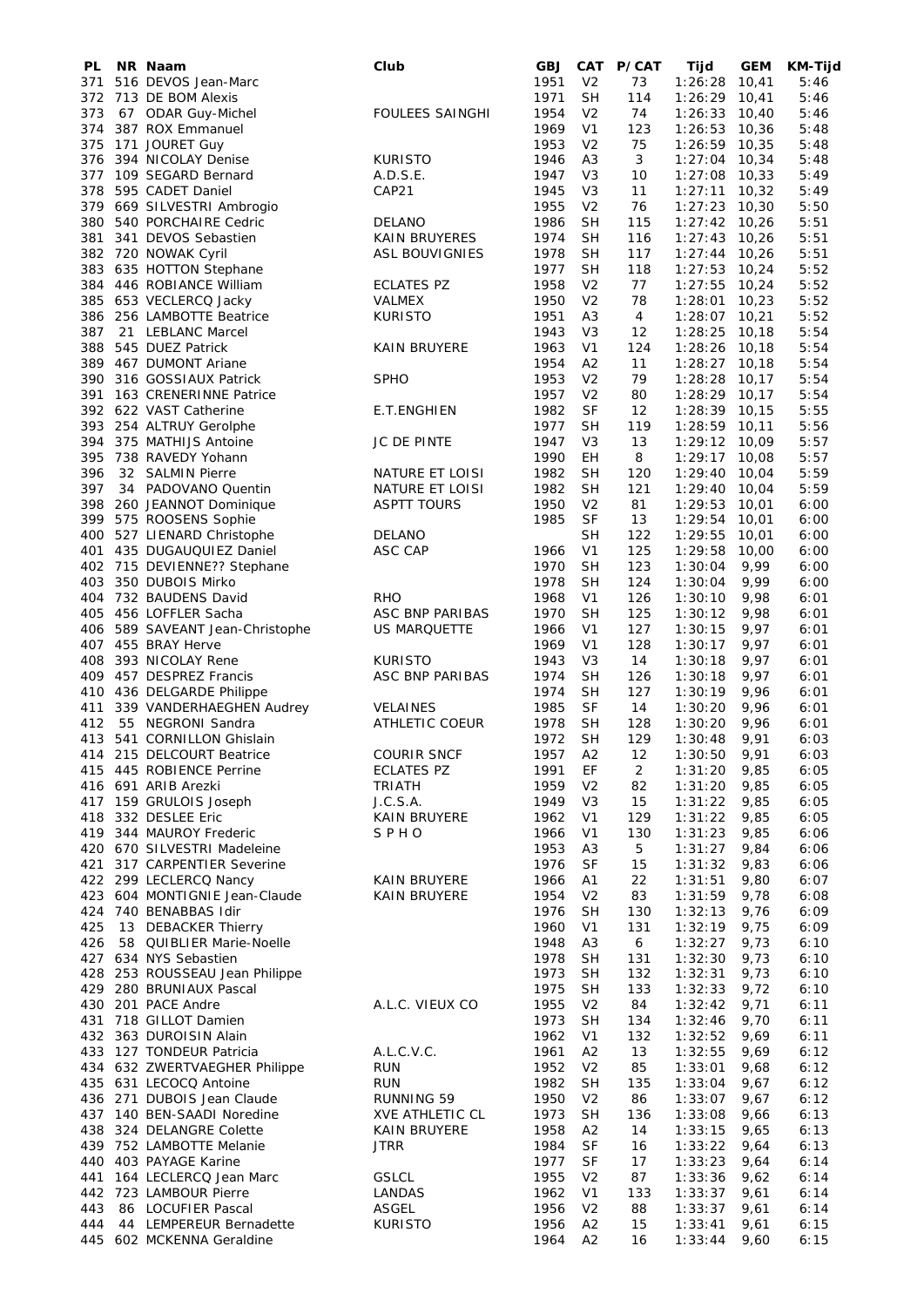| PL         | NR Naam                                                   | Club                               | <b>GBJ</b>   | CAT                              | <b>P/CAT</b> | Tijd                     | <b>GEM</b>     | KM-Tijd      |
|------------|-----------------------------------------------------------|------------------------------------|--------------|----------------------------------|--------------|--------------------------|----------------|--------------|
| 371        | 516 DEVOS Jean-Marc                                       |                                    | 1951         | V <sub>2</sub>                   | 73           | 1:26:28                  | 10,41          | 5:46         |
|            | 372 713 DE BOM Alexis                                     |                                    | 1971         | <b>SH</b>                        | 114          | $1:26:29$ 10,41          |                | 5:46         |
| 373<br>374 | 67 ODAR Guy-Michel<br>387 ROX Emmanuel                    | <b>FOULEES SAINGHI</b>             | 1954<br>1969 | V <sub>2</sub><br>V <sub>1</sub> | 74<br>123    | 1:26:33 10,40<br>1:26:53 | 10,36          | 5:46<br>5:48 |
| 375        | 171 JOURET Guy                                            |                                    | 1953         | V <sub>2</sub>                   | 75           | $1:26:59$ 10,35          |                | 5:48         |
| 376        | 394 NICOLAY Denise                                        | <b>KURISTO</b>                     | 1946         | A <sub>3</sub>                   | 3            | 1:27:04                  | 10,34          | 5:48         |
| 377        | 109 SEGARD Bernard                                        | A.D.S.E.                           | 1947         | V <sub>3</sub>                   | 10           | $1:27:08$ 10,33          |                | 5:49         |
| 378        | 595 CADET Daniel                                          | CAP21                              | 1945         | V <sub>3</sub>                   | 11           | 1:27:11                  | 10,32          | 5:49         |
| 379        | 669 SILVESTRI Ambrogio                                    |                                    | 1955         | V <sub>2</sub>                   | 76           | 1:27:23                  | 10,30          | 5:50         |
| 380        | 540 PORCHAIRE Cedric                                      | DELANO                             | 1986         | <b>SH</b>                        | 115          | $1:27:42$ 10,26          |                | 5:51         |
| 381        | 341 DEVOS Sebastien                                       | <b>KAIN BRUYERES</b>               | 1974         | <b>SH</b>                        | 116          | $1:27:43$ 10,26          |                | 5:51         |
|            | 382 720 NOWAK Cyril                                       | <b>ASL BOUVIGNIES</b>              | 1978         | <b>SH</b>                        | 117          | $1:27:44$ 10,26          |                | 5:51         |
|            | 383 635 HOTTON Stephane                                   |                                    | 1977         | <b>SH</b>                        | 118          | 1:27:53                  | 10,24          | 5:52         |
|            | 384 446 ROBIANCE William                                  | <b>ECLATES PZ</b>                  | 1958         | V <sub>2</sub>                   | 77           | $1:27:55$ 10,24          |                | 5:52         |
|            | 385 653 VECLERCQ Jacky<br>386 256 LAMBOTTE Beatrice       | VALMEX<br><b>KURISTO</b>           | 1950<br>1951 | V <sub>2</sub><br>A <sub>3</sub> | 78<br>4      | 1:28:01<br>1:28:07 10,21 | 10,23          | 5:52<br>5:52 |
| 387        | 21 LEBLANC Marcel                                         |                                    | 1943         | V3                               | 12           | 1:28:25                  | 10,18          | 5:54         |
| 388        | 545 DUEZ Patrick                                          | <b>KAIN BRUYERE</b>                | 1963         | V <sub>1</sub>                   | 124          | 1:28:26                  | 10,18          | 5:54         |
| 389        | 467 DUMONT Ariane                                         |                                    | 1954         | A <sub>2</sub>                   | 11           | $1:28:27$ 10,18          |                | 5:54         |
| 390        | 316 GOSSIAUX Patrick                                      | <b>SPHO</b>                        | 1953         | V <sub>2</sub>                   | 79           | 1:28:28                  | 10,17          | 5:54         |
| 391        | 163 CRENERINNE Patrice                                    |                                    | 1957         | V <sub>2</sub>                   | 80           | $1:28:29$ 10,17          |                | 5:54         |
|            | 392 622 VAST Catherine                                    | <b>E.T.ENGHIEN</b>                 | 1982         | <b>SF</b>                        | 12           | $1:28:39$ 10,15          |                | 5:55         |
| 393        | 254 ALTRUY Gerolphe                                       |                                    | 1977         | <b>SH</b>                        | 119          | 1:28:59 10,11            |                | 5:56         |
|            | 394 375 MATHIJS Antoine                                   | <b>JC DE PINTE</b>                 | 1947         | V <sub>3</sub>                   | 13           | 1:29:12                  | 10,09          | 5:57         |
|            | 395 738 RAVEDY Yohann                                     |                                    | 1990         | EН                               | 8            | 1:29:17 10,08            |                | 5:57         |
| 396<br>397 | 32 SALMIN Pierre<br>34 PADOVANO Quentin                   | NATURE ET LOISI<br>NATURE ET LOISI | 1982<br>1982 | <b>SH</b><br><b>SH</b>           | 120<br>121   | 1:29:40<br>1:29:40       | 10,04<br>10,04 | 5:59<br>5:59 |
| 398        | 260 JEANNOT Dominique                                     | <b>ASPTT TOURS</b>                 | 1950         | V <sub>2</sub>                   | 81           | 1:29:53                  | 10,01          | 6:00         |
| 399        | 575 ROOSENS Sophie                                        |                                    | 1985         | SF                               | 13           | 1:29:54                  | 10,01          | 6:00         |
|            | 400 527 LIENARD Christophe                                | DELANO                             |              | <b>SH</b>                        | 122          | 1:29:55                  | 10,01          | 6:00         |
|            | 401 435 DUGAUQUIEZ Daniel                                 | ASC CAP                            | 1966         | V <sub>1</sub>                   | 125          | 1:29:58                  | 10,00          | 6:00         |
|            | 402 715 DEVIENNE?? Stephane                               |                                    | 1970         | <b>SH</b>                        | 123          | 1:30:04                  | 9,99           | 6:00         |
| 403        | 350 DUBOIS Mirko                                          |                                    | 1978         | <b>SH</b>                        | 124          | 1:30:04                  | 9,99           | 6:00         |
|            | 404 732 BAUDENS David                                     | <b>RHO</b>                         | 1968         | V <sub>1</sub>                   | 126          | 1:30:10                  | 9,98           | 6:01         |
|            | 405 456 LOFFLER Sacha                                     | ASC BNP PARIBAS                    | 1970         | <b>SH</b>                        | 125          | 1:30:12                  | 9,98           | 6:01         |
|            | 406 589 SAVEANT Jean-Christophe                           | US MARQUETTE                       | 1966         | V <sub>1</sub>                   | 127          | 1:30:15                  | 9,97           | 6:01         |
| 408        | 407 455 BRAY Herve<br>393 NICOLAY Rene                    | <b>KURISTO</b>                     | 1969<br>1943 | V <sub>1</sub>                   | 128<br>14    | 1:30:17<br>1:30:18       | 9,97<br>9,97   | 6:01         |
| 409        | 457 DESPREZ Francis                                       | ASC BNP PARIBAS                    | 1974         | V3<br><b>SH</b>                  | 126          | 1:30:18                  | 9,97           | 6:01<br>6:01 |
|            | 410 436 DELGARDE Philippe                                 |                                    | 1974         | <b>SH</b>                        | 127          | 1:30:19                  | 9,96           | 6:01         |
| 411        | 339 VANDERHAEGHEN Audrey                                  | <b>VELAINES</b>                    | 1985         | <b>SF</b>                        | 14           | 1:30:20                  | 9,96           | 6:01         |
| 412        | 55 NEGRONI Sandra                                         | <b>ATHLETIC COEUR</b>              | 1978         | SН                               | 128          | 1:30:20                  | 9,96           | 6:01         |
|            | 413 541 CORNILLON Ghislain                                |                                    | 1972         | <b>SH</b>                        | 129          | 1:30:48                  | 9,91           | 6:03         |
|            | 414 215 DELCOURT Beatrice                                 | <b>COURIR SNCF</b>                 | 1957         | A <sub>2</sub>                   | 12           | 1:30:50                  | 9,91           | 6:03         |
|            | 415 445 ROBIENCE Perrine                                  | ECLATES PZ                         | 1991         | EF                               | 2            | 1:31:20                  | 9,85           | 6:05         |
|            | 416 691 ARIB Arezki                                       | TRIATH                             | 1959         | V <sub>2</sub>                   | 82           | $1:31:20$ 9,85           |                | 6:05         |
|            | 417 159 GRULOIS Joseph                                    | J.C.S.A.                           | 1949         | V <sub>3</sub>                   | 15           | 1:31:22                  | 9,85           | 6:05         |
|            | 418 332 DESLEE Eric<br>419 344 MAUROY Frederic            | KAIN BRUYERE<br>SPHO               | 1962<br>1966 | V <sub>1</sub><br>V <sub>1</sub> | 129<br>130   | 1:31:22<br>1:31:23       | 9,85<br>9,85   | 6:05<br>6:06 |
|            | 420 670 SILVESTRI Madeleine                               |                                    | 1953         | A <sub>3</sub>                   | 5            | 1:31:27                  | 9,84           | 6:06         |
|            | 421 317 CARPENTIER Severine                               |                                    | 1976         | <b>SF</b>                        | 15           | 1:31:32                  | 9,83           | 6:06         |
|            | 422 299 LECLERCQ Nancy                                    | KAIN BRUYERE                       | 1966         | A1                               | 22           | 1:31:51                  | 9,80           | 6:07         |
|            | 423 604 MONTIGNIE Jean-Claude                             | KAIN BRUYERE                       | 1954         | V <sub>2</sub>                   | 83           | 1:31:59                  | 9,78           | 6:08         |
|            | 424 740 BENABBAS Idir                                     |                                    | 1976         | <b>SH</b>                        | 130          | 1:32:13                  | 9,76           | 6:09         |
| 425        | 13 DEBACKER Thierry                                       |                                    | 1960         | V <sub>1</sub>                   | 131          | 1:32:19                  | 9,75           | 6:09         |
| 426        | 58 QUIBLIER Marie-Noelle                                  |                                    | 1948         | A <sub>3</sub>                   | 6            | 1:32:27                  | 9,73           | 6:10         |
|            | 427 634 NYS Sebastien                                     |                                    | 1978         | SН                               | 131          | 1:32:30                  | 9,73           | 6:10         |
|            | 428 253 ROUSSEAU Jean Philippe<br>429 280 BRUNIAUX Pascal |                                    | 1973<br>1975 | <b>SH</b><br><b>SH</b>           | 132<br>133   | 1:32:31<br>1:32:33       | 9,73<br>9,72   | 6:10<br>6:10 |
|            | 430 201 PACE Andre                                        | A.L.C. VIEUX CO                    | 1955         | V <sub>2</sub>                   | 84           | 1:32:42                  | 9,71           | 6:11         |
|            | 431 718 GILLOT Damien                                     |                                    | 1973         | <b>SH</b>                        | 134          | 1:32:46                  | 9,70           | 6:11         |
|            | 432 363 DUROISIN Alain                                    |                                    | 1962         | V <sub>1</sub>                   | 132          | 1:32:52                  | 9,69           | 6:11         |
|            | 433 127 TONDEUR Patricia                                  | A.L.C.V.C.                         | 1961         | A2                               | 13           | 1:32:55                  | 9,69           | 6:12         |
|            | 434 632 ZWERTVAEGHER Philippe                             | RUN                                | 1952         | V <sub>2</sub>                   | 85           | 1:33:01                  | 9,68           | 6:12         |
|            | 435 631 LECOCQ Antoine                                    | <b>RUN</b>                         | 1982         | <b>SH</b>                        | 135          | 1:33:04                  | 9,67           | 6:12         |
|            | 436 271 DUBOIS Jean Claude                                | RUNNING 59                         | 1950         | V <sub>2</sub>                   | 86           | 1:33:07                  | 9,67           | 6:12         |
|            | 437 140 BEN-SAADI Noredine                                | <b>XVE ATHLETIC CL</b>             | 1973         | <b>SH</b>                        | 136          | 1:33:08                  | 9,66           | 6:13         |
|            | 438 324 DELANGRE Colette<br>439 752 LAMBOTTE Melanie      | KAIN BRUYERE<br><b>JTRR</b>        | 1958<br>1984 | A2<br><b>SF</b>                  | 14<br>16     | 1:33:15<br>1:33:22       | 9,65<br>9,64   | 6:13<br>6:13 |
|            | 440 403 PAYAGE Karine                                     |                                    | 1977         | <b>SF</b>                        | 17           | 1:33:23                  | 9,64           | 6:14         |
|            | 441 164 LECLERCQ Jean Marc                                | <b>GSLCL</b>                       | 1955         | V <sub>2</sub>                   | 87           | 1:33:36                  | 9,62           | 6:14         |
|            | 442 723 LAMBOUR Pierre                                    | LANDAS                             | 1962         | V <sub>1</sub>                   | 133          | 1:33:37                  | 9,61           | 6:14         |
| 443        | 86 LOCUFIER Pascal                                        | <b>ASGEL</b>                       | 1956         | V <sub>2</sub>                   | 88           | 1:33:37                  | 9,61           | 6:14         |
|            | 444 44 LEMPEREUR Bernadette                               | <b>KURISTO</b>                     | 1956         | A2                               | 15           | 1:33:41                  | 9,61           | 6:15         |
|            | 445 602 MCKENNA Geraldine                                 |                                    | 1964         | A2                               | 16           | 1:33:44                  | 9,60           | 6:15         |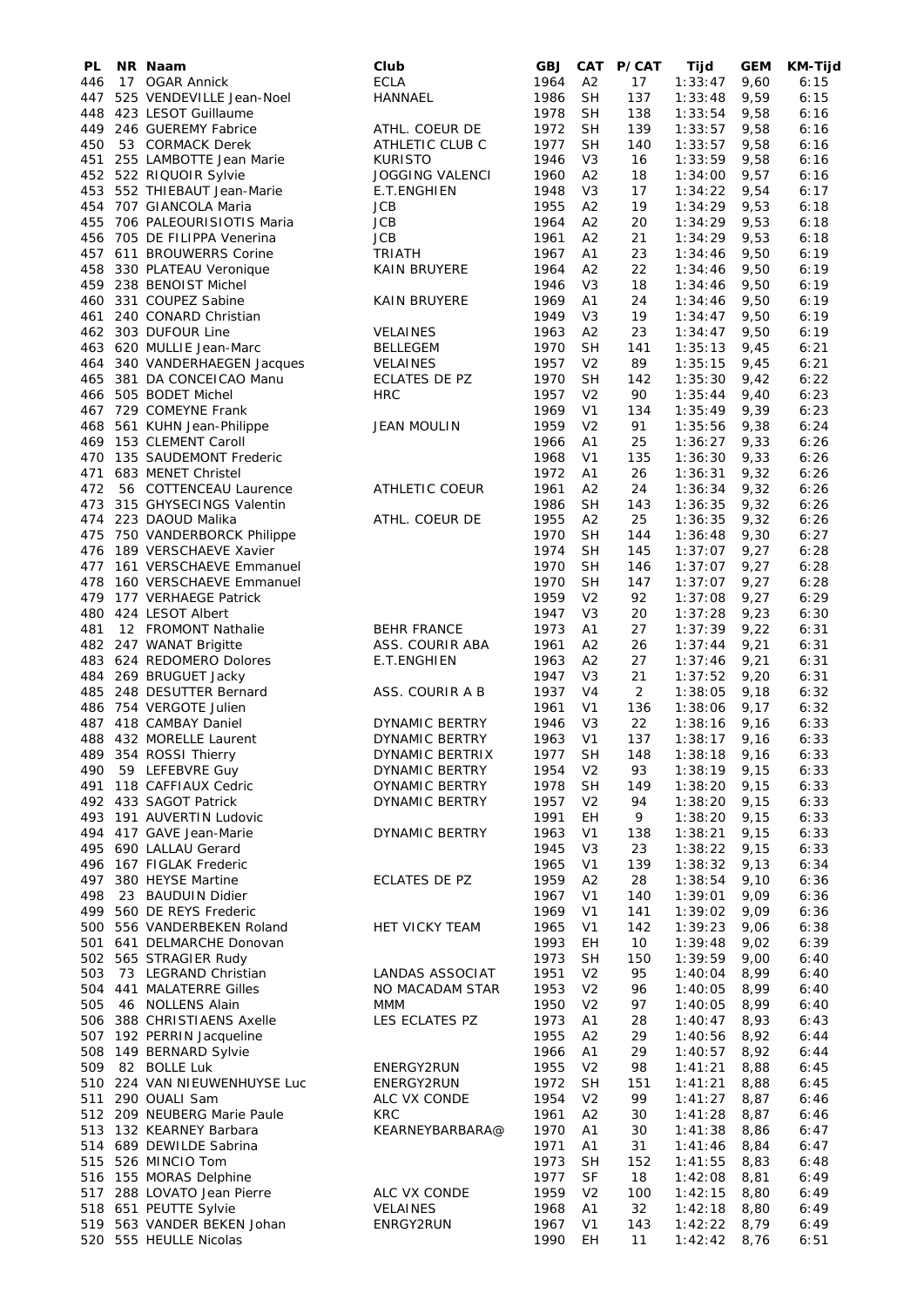| PL  | NR Naam                                             | Club                            | <b>GBJ</b>   | CAT            | <b>P/CAT</b> | Tijd           | GEM  | KM-Tijd      |
|-----|-----------------------------------------------------|---------------------------------|--------------|----------------|--------------|----------------|------|--------------|
| 446 | 17 OGAR Annick                                      | <b>ECLA</b>                     | 1964         | A <sub>2</sub> | 17           | 1:33:47        | 9,60 | 6:15         |
| 447 | 525 VENDEVILLE Jean-Noel                            | <b>HANNAEL</b>                  | 1986         | <b>SH</b>      | 137          | 1:33:48        | 9,59 | 6:15         |
|     | 448 423 LESOT Guillaume                             |                                 | 1978         | <b>SH</b>      | 138          | 1:33:54        | 9,58 | 6:16         |
| 449 | 246 GUEREMY Fabrice                                 | ATHL. COEUR DE                  | 1972         | <b>SH</b>      | 139          | 1:33:57        | 9,58 | 6:16         |
| 450 | 53 CORMACK Derek                                    | ATHLETIC CLUB C                 | 1977         | SH             | 140          | 1:33:57        | 9,58 | 6:16         |
| 451 | 255 LAMBOTTE Jean Marie                             | <b>KURISTO</b>                  | 1946         | V <sub>3</sub> | 16           | 1:33:59        | 9,58 | 6:16         |
|     | 452 522 RIQUOIR Sylvie                              | <b>JOGGING VALENCI</b>          | 1960         | A2             | 18           | 1:34:00        | 9,57 | 6:16         |
|     | 453 552 THIEBAUT Jean-Marie                         | E.T.ENGHIEN                     | 1948         | V <sub>3</sub> | 17           | 1:34:22        | 9,54 | 6:17         |
|     | 454 707 GIANCOLA Maria                              | <b>JCB</b>                      | 1955         | A <sub>2</sub> | 19           | 1:34:29        | 9,53 | 6:18         |
|     | 455 706 PALEOURISIOTIS Maria                        | <b>JCB</b>                      | 1964         | A <sub>2</sub> | 20           | 1:34:29        | 9,53 | 6:18         |
|     | 456 705 DE FILIPPA Venerina                         | <b>JCB</b>                      | 1961         | A <sub>2</sub> | 21           | 1:34:29        | 9,53 | 6:18         |
|     | 457 611 BROUWERRS Corine                            | <b>TRIATH</b>                   | 1967         | A <sub>1</sub> | 23           | 1:34:46        | 9,50 | 6:19         |
|     | 458 330 PLATEAU Veronique                           | <b>KAIN BRUYERE</b>             | 1964         | A <sub>2</sub> | 22           | 1:34:46        | 9,50 | 6:19         |
|     | 459 238 BENOIST Michel                              |                                 | 1946         | V3             | 18           | 1:34:46        | 9,50 | 6:19         |
|     | 460 331 COUPEZ Sabine                               | <b>KAIN BRUYERE</b>             | 1969         | A1             | 24           | 1:34:46        | 9,50 | 6:19         |
|     | 461 240 CONARD Christian                            |                                 | 1949         | V3             | 19           | 1:34:47        | 9,50 | 6:19         |
|     | 462 303 DUFOUR Line                                 | <b>VELAINES</b>                 | 1963         | A2             | 23           | 1:34:47        | 9,50 | 6:19         |
|     | 463 620 MULLIE Jean-Marc                            | <b>BELLEGEM</b>                 | 1970         | <b>SH</b>      | 141          | 1:35:13        | 9,45 | 6:21         |
|     | 464 340 VANDERHAEGEN Jacques                        | <b>VELAINES</b>                 | 1957         | V <sub>2</sub> | 89           | 1:35:15        | 9,45 | 6:21         |
|     | 465 381 DA CONCEICAO Manu                           | ECLATES DE PZ                   | 1970         | <b>SH</b>      | 142          | 1:35:30        | 9,42 | 6:22         |
|     | 466 505 BODET Michel                                | <b>HRC</b>                      | 1957         | V <sub>2</sub> | 90           | 1:35:44        | 9,40 | 6:23         |
|     | 467 729 COMEYNE Frank                               |                                 | 1969         | V <sub>1</sub> | 134          | 1:35:49        | 9,39 | 6:23         |
| 468 | 561 KUHN Jean-Philippe                              | <b>JEAN MOULIN</b>              | 1959         | V <sub>2</sub> | 91           | 1:35:56        | 9,38 | 6:24         |
|     | 469 153 CLEMENT Caroll                              |                                 | 1966         | Α1             | 25           | 1:36:27        | 9,33 | 6:26         |
|     | 470 135 SAUDEMONT Frederic                          |                                 | 1968         | V <sub>1</sub> | 135          | 1:36:30        | 9,33 | 6:26         |
|     | 471 683 MENET Christel                              |                                 | 1972         | A1             | 26           | 1:36:31        | 9,32 | 6:26         |
| 472 | 56 COTTENCEAU Laurence                              | <b>ATHLETIC COEUR</b>           | 1961         | A <sub>2</sub> | 24           | 1:36:34        | 9,32 | 6:26         |
|     | 473 315 GHYSECINGS Valentin                         |                                 | 1986         | <b>SH</b>      | 143          | 1:36:35        | 9,32 | 6:26         |
| 474 | 223 DAOUD Malika                                    | ATHL. COEUR DE                  | 1955         | A <sub>2</sub> | 25           | 1:36:35        | 9,32 | 6:26         |
| 475 | 750 VANDERBORCK Philippe                            |                                 | 1970         | SH             | 144          | 1:36:48        | 9,30 | 6:27         |
|     | 476 189 VERSCHAEVE Xavier                           |                                 | 1974         | <b>SH</b>      | 145          | 1:37:07        | 9,27 | 6:28         |
|     | 477 161 VERSCHAEVE Emmanuel                         |                                 | 1970         | <b>SH</b>      | 146          | 1:37:07        | 9,27 | 6:28         |
| 478 | 160 VERSCHAEVE Emmanuel                             |                                 | 1970         | <b>SH</b>      | 147          | 1:37:07        | 9,27 | 6:28         |
|     | 479 177 VERHAEGE Patrick                            |                                 | 1959         | V <sub>2</sub> | 92           | 1:37:08        | 9,27 | 6:29         |
|     | 480 424 LESOT Albert                                |                                 | 1947         | V <sub>3</sub> | 20           | 1:37:28        | 9,23 | 6:30         |
| 481 | 12 FROMONT Nathalie                                 | <b>BEHR FRANCE</b>              | 1973         | Α1             | 27           | 1:37:39        | 9,22 | 6:31         |
|     | 482 247 WANAT Brigitte                              | ASS. COURIR ABA                 | 1961         | A <sub>2</sub> | 26           | 1:37:44        | 9,21 | 6:31         |
|     | 483 624 REDOMERO Dolores                            | E.T.ENGHIEN                     | 1963         | A <sub>2</sub> | 27           | 1:37:46        | 9,21 | 6:31         |
|     | 484 269 BRUGUET Jacky                               |                                 | 1947         | V3             | 21           | 1:37:52        | 9,20 | 6:31         |
|     | 485 248 DESUTTER Bernard                            | ASS. COURIR A B                 | 1937         | V4             | 2            | 1:38:05        | 9,18 | 6:32         |
|     | 486 754 VERGOTE Julien                              |                                 | 1961         | V <sub>1</sub> | 136          | 1:38:06        | 9,17 | 6:32         |
|     | 487 418 CAMBAY Daniel                               | <b>DYNAMIC BERTRY</b>           | 1946         | V3             | 22           | 1:38:16        | 9,16 | 6:33         |
|     | 488 432 MORELLE Laurent                             | DYNAMIC BERTRY                  | 1963         | V <sub>1</sub> | 137          | 1:38:17        | 9,16 | 6:33         |
|     | 489 354 ROSSI Thierry                               | DYNAMIC BERTRIX                 | 1977         | <b>SH</b>      | 148          | $1:38:18$ 9,16 |      | 6:33         |
|     | 490 59 LEFEBVRE Guy                                 | DYNAMIC BERTRY                  | 1954         | V <sub>2</sub> | 93           | 1:38:19        | 9,15 | 6:33         |
|     | 491 118 CAFFIAUX Cedric                             | OYNAMIC BERTRY                  | 1978         | <b>SH</b>      | 149          | 1:38:20        | 9,15 | 6:33         |
|     | 492 433 SAGOT Patrick                               | <b>DYNAMIC BERTRY</b>           | 1957         | V <sub>2</sub> | 94           | 1:38:20        | 9,15 | 6:33         |
|     | 493 191 AUVERTIN Ludovic                            |                                 | 1991         | EН             | 9            | 1:38:20        | 9,15 | 6:33         |
|     | 494 417 GAVE Jean-Marie                             | DYNAMIC BERTRY                  | 1963         | V1             | 138          | 1:38:21        | 9,15 | 6:33         |
|     | 495 690 LALLAU Gerard                               |                                 | 1945         | V <sub>3</sub> | 23           | 1:38:22        | 9,15 | 6:33         |
|     | 496 167 FIGLAK Frederic                             |                                 | 1965         | V <sub>1</sub> | 139          | 1:38:32        | 9,13 | 6:34         |
| 497 | 380 HEYSE Martine                                   | <b>ECLATES DE PZ</b>            | 1959         | A <sub>2</sub> | 28           | 1:38:54        | 9,10 | 6:36         |
| 498 | 23 BAUDUIN Didier                                   |                                 | 1967         | V <sub>1</sub> | 140          | 1:39:01        | 9,09 | 6:36         |
| 499 | 560 DE REYS Frederic                                |                                 | 1969         | V <sub>1</sub> | 141          | 1:39:02        | 9,09 | 6:36         |
|     | 500 556 VANDERBEKEN Roland                          | HET VICKY TEAM                  | 1965         | V <sub>1</sub> | 142          | 1:39:23        | 9,06 | 6:38         |
|     | 501 641 DELMARCHE Donovan                           |                                 | 1993         | EН             | 10           | 1:39:48        | 9,02 | 6:39         |
|     | 502 565 STRAGIER Rudy                               |                                 | 1973         | <b>SH</b>      | 150          | 1:39:59        | 9,00 | 6:40         |
| 503 | 73 LEGRAND Christian                                | LANDAS ASSOCIAT                 | 1951         | V <sub>2</sub> | 95           | 1:40:04        | 8,99 | 6:40         |
|     | 504 441 MALATERRE Gilles                            | NO MACADAM STAR                 | 1953         | V <sub>2</sub> | 96           | 1:40:05        | 8,99 | 6:40         |
| 505 | 46 NOLLENS Alain                                    | <b>MMM</b>                      | 1950         | V <sub>2</sub> | 97           | 1:40:05        | 8,99 | 6:40         |
|     | 506 388 CHRISTIAENS Axelle                          | LES ECLATES PZ                  | 1973         | A1             | 28           | 1:40:47        | 8,93 | 6:43         |
|     | 507 192 PERRIN Jacqueline                           |                                 | 1955         | A <sub>2</sub> | 29           | 1:40:56        | 8,92 | 6:44         |
|     | 508 149 BERNARD Sylvie                              |                                 | 1966         | A1             | 29           | 1:40:57        | 8,92 | 6:44         |
| 509 | 82 BOLLE Luk                                        | ENERGY2RUN                      | 1955         | V <sub>2</sub> | 98           | 1:41:21        | 8,88 | 6:45         |
|     | 510 224 VAN NIEUWENHUYSE Luc                        | ENERGY2RUN                      | 1972         | <b>SH</b>      | 151          | 1:41:21        | 8,88 | 6:45         |
| 511 | 290 OUALI Sam                                       | ALC VX CONDE                    | 1954         | V <sub>2</sub> | 99           | 1:41:27        | 8,87 | 6:46         |
|     | 512 209 NEUBERG Marie Paule                         | <b>KRC</b>                      | 1961         | A2             | 30           | 1:41:28        | 8,87 | 6:46         |
|     | 513 132 KEARNEY Barbara                             | KEARNEYBARBARA@                 | 1970         | A1             | 30           | 1:41:38        | 8,86 | 6:47         |
|     | 514 689 DEWILDE Sabrina                             |                                 | 1971         | A <sub>1</sub> | 31           | 1:41:46        | 8,84 | 6:47         |
|     | 515 526 MINCIO Tom                                  |                                 | 1973         | <b>SH</b>      | 152          | 1:41:55        | 8,83 | 6:48         |
|     | 516 155 MORAS Delphine                              |                                 | 1977         | SF             | 18           | 1:42:08        | 8,81 | 6:49         |
|     | 517 288 LOVATO Jean Pierre                          | ALC VX CONDE<br><b>VELAINES</b> | 1959<br>1968 | V <sub>2</sub> | 100<br>32    | 1:42:15        | 8,80 | 6:49         |
|     | 518 651 PEUTTE Sylvie<br>519 563 VANDER BEKEN Johan | ENRGY2RUN                       |              | A1             |              | 1:42:18        | 8,80 | 6:49<br>6:49 |
|     |                                                     |                                 | 1967         | V1             | 143          | 1:42:22        | 8,79 |              |
|     | 520 555 HEULLE Nicolas                              |                                 | 1990         | EH             | 11           | 1:42:42        | 8,76 | 6:51         |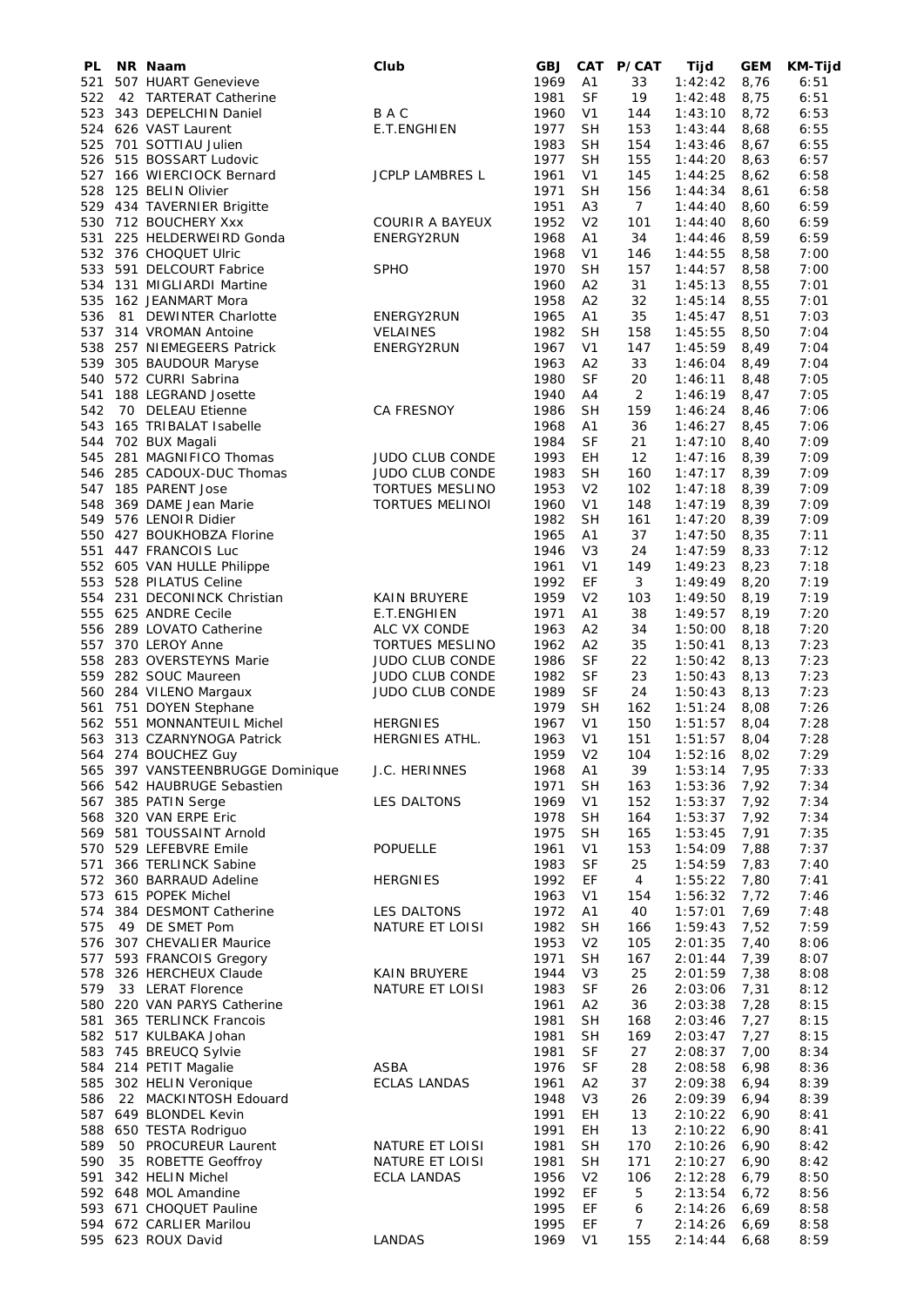| PL  | NR Naam                                        | Club                   | <b>GBJ</b>   |                             | CAT P/CAT       | Tijd               | <b>GEM</b>   | KM-Tijd      |
|-----|------------------------------------------------|------------------------|--------------|-----------------------------|-----------------|--------------------|--------------|--------------|
| 521 | 507 HUART Genevieve                            |                        | 1969         | A1                          | 33              | 1:42:42            | 8,76         | 6:51         |
| 522 | 42 TARTERAT Catherine                          |                        | 1981         | <b>SF</b>                   | 19              | 1:42:48            | 8,75         | 6:51         |
| 523 | 343 DEPELCHIN Daniel                           | B A C                  | 1960         | V <sub>1</sub>              | 144             | 1:43:10            | 8,72         | 6:53         |
|     | 524 626 VAST Laurent                           | E.T.ENGHIEN            | 1977         | <b>SH</b>                   | 153             | 1:43:44            | 8,68         | 6:55         |
|     | 525 701 SOTTIAU Julien                         |                        | 1983         | <b>SH</b>                   | 154             | 1:43:46            | 8,67         | 6:55         |
| 526 | 515 BOSSART Ludovic                            |                        | 1977         | <b>SH</b>                   | 155             | 1:44:20            | 8,63         | 6:57         |
| 528 | 527 166 WIERCIOCK Bernard<br>125 BELIN Olivier | <b>JCPLP LAMBRES L</b> | 1961<br>1971 | V <sub>1</sub><br><b>SH</b> | 145<br>156      | 1:44:25            | 8,62<br>8,61 | 6:58<br>6:58 |
|     | 529 434 TAVERNIER Brigitte                     |                        | 1951         | A <sub>3</sub>              | $7\overline{ }$ | 1:44:34            | 8,60         | 6:59         |
|     | 530 712 BOUCHERY Xxx                           | <b>COURIR A BAYEUX</b> | 1952         | V <sub>2</sub>              | 101             | 1:44:40<br>1:44:40 | 8,60         | 6:59         |
| 531 | 225 HELDERWEIRD Gonda                          | ENERGY2RUN             | 1968         | Α1                          | 34              | 1:44:46            | 8,59         | 6:59         |
|     | 532 376 CHOQUET Ulric                          |                        | 1968         | V <sub>1</sub>              | 146             | 1:44:55            | 8,58         | 7:00         |
| 533 | 591 DELCOURT Fabrice                           | <b>SPHO</b>            | 1970         | <b>SH</b>                   | 157             | 1:44:57            | 8,58         | 7:00         |
|     | 534 131 MIGLIARDI Martine                      |                        | 1960         | A <sub>2</sub>              | 31              | 1:45:13            | 8,55         | 7:01         |
|     | 535 162 JEANMART Mora                          |                        | 1958         | A <sub>2</sub>              | 32              | 1:45:14            | 8,55         | 7:01         |
| 536 | 81 DEWINTER Charlotte                          | ENERGY2RUN             | 1965         | A <sub>1</sub>              | 35              | 1:45:47            | 8,51         | 7:03         |
| 537 | 314 VROMAN Antoine                             | <b>VELAINES</b>        | 1982         | <b>SH</b>                   | 158             | 1:45:55            | 8,50         | 7:04         |
| 538 | 257 NIEMEGEERS Patrick                         | ENERGY2RUN             | 1967         | V <sub>1</sub>              | 147             | 1:45:59            | 8,49         | 7:04         |
| 539 | 305 BAUDOUR Maryse                             |                        | 1963         | A <sub>2</sub>              | 33              | 1:46:04            | 8,49         | 7:04         |
|     | 540 572 CURRI Sabrina                          |                        | 1980         | SF                          | 20              | 1:46:11            | 8,48         | 7:05         |
| 541 | 188 LEGRAND Josette                            |                        | 1940         | A4                          | 2               | 1:46:19            | 8,47         | 7:05         |
| 542 | 70 DELEAU Etienne                              | <b>CA FRESNOY</b>      | 1986         | <b>SH</b>                   | 159             | 1:46:24            | 8,46         | 7:06         |
| 543 | 165 TRIBALAT Isabelle                          |                        | 1968         | A1                          | 36              | 1:46:27            | 8,45         | 7:06         |
| 544 | 702 BUX Magali                                 |                        | 1984         | <b>SF</b>                   | 21              | 1:47:10            | 8,40         | 7:09         |
| 545 | 281 MAGNIFICO Thomas                           | <b>JUDO CLUB CONDE</b> | 1993         | EH                          | 12              | 1:47:16            | 8,39         | 7:09         |
|     | 546 285 CADOUX-DUC Thomas                      | <b>JUDO CLUB CONDE</b> | 1983         | <b>SH</b>                   | 160             | 1:47:17            | 8,39         | 7:09         |
|     | 547 185 PARENT Jose                            | <b>TORTUES MESLINO</b> | 1953         | V <sub>2</sub>              | 102             | 1:47:18            | 8,39         | 7:09         |
| 548 | 369 DAME Jean Marie                            | <b>TORTUES MELINOI</b> | 1960         | V <sub>1</sub>              | 148             | 1:47:19            | 8,39         | 7:09         |
| 549 | 576 LENOIR Didier                              |                        | 1982         | <b>SH</b>                   | 161             | 1:47:20            | 8,39         | 7:09         |
|     | 550 427 BOUKHOBZA Florine                      |                        | 1965         | A1                          | 37              | 1:47:50            | 8,35         | 7:11         |
| 551 | 447 FRANCOIS Luc                               |                        | 1946         | V3                          | 24              | 1:47:59            | 8,33         | 7:12         |
|     | 552 605 VAN HULLE Philippe                     |                        | 1961         | V <sub>1</sub>              | 149             | 1:49:23            | 8,23         | 7:18         |
| 553 | 528 PILATUS Celine                             |                        | 1992         | EF                          | 3               | 1:49:49            | 8,20         | 7:19         |
|     | 554 231 DECONINCK Christian                    | KAIN BRUYERE           | 1959         | V <sub>2</sub>              | 103             | 1:49:50            | 8,19         | 7:19         |
| 555 | 625 ANDRE Cecile                               | E.T.ENGHIEN            | 1971         | A <sub>1</sub>              | 38              | 1:49:57            | 8,19         | 7:20         |
|     | 556 289 LOVATO Catherine                       | ALC VX CONDE           | 1963         | A <sub>2</sub>              | 34              | 1:50:00            | 8,18         | 7:20         |
| 557 | 370 LEROY Anne                                 | TORTUES MESLINO        | 1962         | A <sub>2</sub>              | 35              | 1:50:41            | 8,13         | 7:23         |
| 558 | 283 OVERSTEYNS Marie                           | JUDO CLUB CONDE        | 1986         | <b>SF</b>                   | 22              | 1:50:42            | 8,13         | 7:23         |
| 559 | 282 SOUC Maureen                               | <b>JUDO CLUB CONDE</b> | 1982         | SF                          | 23              | 1:50:43            | 8,13         | 7:23         |
|     | 560 284 VILENO Margaux                         | JUDO CLUB CONDE        | 1989         | <b>SF</b>                   | 24              | 1:50:43            | 8,13         | 7:23         |
| 561 | 751 DOYEN Stephane                             |                        | 1979         | <b>SH</b>                   | 162             | 1:51:24            | 8,08         | 7:26         |
|     | 562 551 MONNANTEUIL Michel                     | <b>HERGNIES</b>        | 1967         | V <sub>1</sub>              | 150             | 1:51:57            | 8,04         | 7:28         |
|     | 563 313 CZARNYNOGA Patrick                     | HERGNIES ATHL.         | 1963         | V <sub>1</sub>              | 151             | 1:51:57            | 8,04         | 7:28         |
|     | 564 274 BOUCHEZ Guy                            |                        | 1959 V2      |                             | 104             | 1:52:16            | 8,02         | 7:29         |
|     | 565 397 VANSTEENBRUGGE Dominique               | J.C. HERINNES          | 1968         | A1                          | 39              | 1:53:14            | 7,95         | 7:33         |
|     | 566 542 HAUBRUGE Sebastien                     |                        | 1971         | <b>SH</b>                   | 163             | 1:53:36            | 7,92         | 7:34         |
|     | 567 385 PATIN Serge                            | LES DALTONS            | 1969         | V <sub>1</sub>              | 152             | 1:53:37            | 7,92         | 7:34         |
|     | 568 320 VAN ERPE Eric                          |                        | 1978         | SН                          | 164             | 1:53:37            | 7,92         | 7:34         |
|     | 569 581 TOUSSAINT Arnold                       |                        | 1975         | <b>SH</b>                   | 165             | 1:53:45            | 7,91         | 7:35         |
|     | 570 529 LEFEBVRE Emile                         | <b>POPUELLE</b>        | 1961         | V <sub>1</sub>              | 153             | 1:54:09            | 7,88         | 7:37         |
| 571 | 366 TERLINCK Sabine                            |                        | 1983         | <b>SF</b>                   | 25              | 1:54:59            | 7,83         | 7:40         |
|     | 572 360 BARRAUD Adeline                        | <b>HERGNIES</b>        | 1992         | EF                          | 4               | 1:55:22            | 7,80         | 7:41         |
|     | 573 615 POPEK Michel                           |                        | 1963         | V <sub>1</sub>              | 154             | 1:56:32            | 7,72         | 7:46         |
|     | 574 384 DESMONT Catherine                      | LES DALTONS            | 1972         | A <sub>1</sub>              | 40              | 1:57:01            | 7,69         | 7:48         |
| 575 | 49 DE SMET Pom                                 | NATURE ET LOISI        | 1982         | SН                          | 166             | 1:59:43            | 7,52         | 7:59         |
|     | 576 307 CHEVALIER Maurice                      |                        | 1953         | V <sub>2</sub>              | 105             | 2:01:35            | 7,40         | 8:06         |
| 577 | 593 FRANCOIS Gregory                           |                        | 1971         | <b>SH</b>                   | 167             | 2:01:44            | 7,39         | 8:07         |
|     | 578 326 HERCHEUX Claude                        | <b>KAIN BRUYERE</b>    | 1944         | V3                          | 25              | 2:01:59            | 7,38         | 8:08         |
| 579 | 33 LERAT Florence                              | NATURE ET LOISI        | 1983         | SF                          | 26              | 2:03:06            | 7,31         | 8:12         |
|     | 580 220 VAN PARYS Catherine                    |                        | 1961         | A2                          | 36              | 2:03:38            | 7,28         | 8:15         |
|     | 581 365 TERLINCK Francois                      |                        | 1981         | <b>SH</b>                   | 168             | 2:03:46            | 7,27         | 8:15         |
|     | 582 517 KULBAKA Johan                          |                        | 1981<br>1981 | <b>SH</b><br><b>SF</b>      | 169<br>27       | 2:03:47<br>2:08:37 | 7,27         | 8:15<br>8:34 |
| 584 | 583 745 BREUCQ Sylvie<br>214 PETIT Magalie     | <b>ASBA</b>            | 1976         | <b>SF</b>                   | 28              | 2:08:58            | 7,00<br>6,98 | 8:36         |
|     | 585 302 HELIN Veronique                        | <b>ECLAS LANDAS</b>    | 1961         | A2                          | 37              | 2:09:38            | 6,94         | 8:39         |
| 586 | 22 MACKINTOSH Edouard                          |                        | 1948         | V <sub>3</sub>              | 26              | 2:09:39            | 6,94         | 8:39         |
|     | 587 649 BLONDEL Kevin                          |                        | 1991         | EH                          | 13              | 2:10:22            | 6,90         | 8:41         |
|     | 588 650 TESTA Rodriguo                         |                        | 1991         | EH                          | 13              | 2:10:22            | 6,90         | 8:41         |
| 589 | 50 PROCUREUR Laurent                           | NATURE ET LOISI        | 1981         | <b>SH</b>                   | 170             | 2:10:26            | 6,90         | 8:42         |
| 590 | 35 ROBETTE Geoffroy                            | NATURE ET LOISI        | 1981         | <b>SH</b>                   | 171             | 2:10:27            | 6,90         | 8:42         |
| 591 | 342 HELIN Michel                               | <b>ECLA LANDAS</b>     | 1956         | V <sub>2</sub>              | 106             | 2:12:28            | 6,79         | 8:50         |
|     | 592 648 MOL Amandine                           |                        | 1992         | EF                          | 5               | 2:13:54            | 6,72         | 8:56         |
|     | 593 671 CHOQUET Pauline                        |                        | 1995         | EF                          | 6               | 2:14:26            | 6,69         | 8:58         |
|     | 594 672 CARLIER Marilou                        |                        | 1995         | EF                          | 7               | 2:14:26            | 6,69         | 8:58         |
|     | 595 623 ROUX David                             | LANDAS                 | 1969         | V <sub>1</sub>              | 155             | 2:14:44            | 6,68         | 8:59         |
|     |                                                |                        |              |                             |                 |                    |              |              |